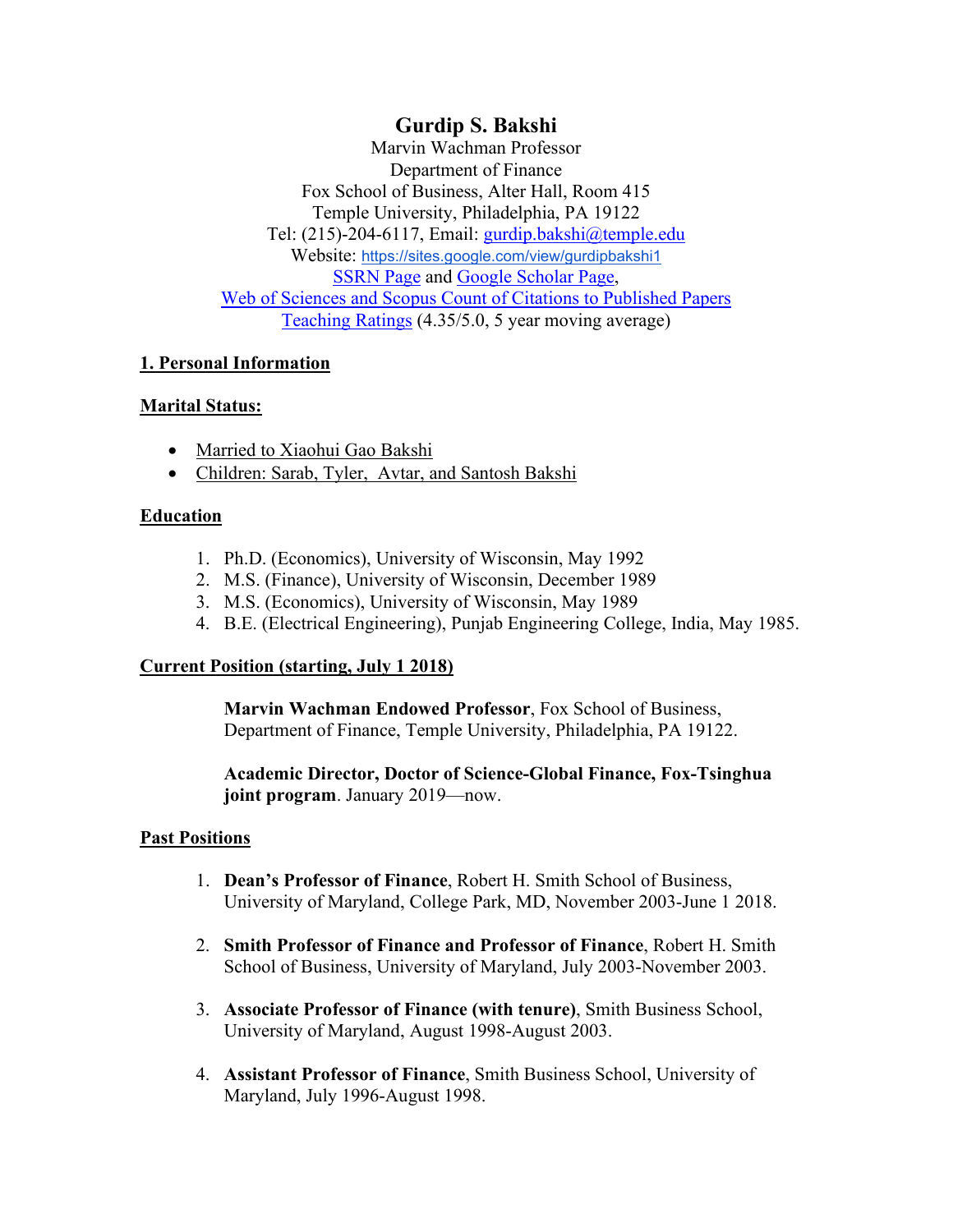# **Gurdip S. Bakshi**

Marvin Wachman Professor Department of Finance Fox School of Business, Alter Hall, Room 415 Temple University, Philadelphia, PA 19122 Tel: (215)-204-6117, Email: [gurdip.bakshi@temple.edu](mailto:gurdip.bakshi@temple.edu) Website: <https://sites.google.com/view/gurdipbakshi1> [SSRN Page](http://papers.ssrn.com/sol3/cf_dev/AbsByAuth.cfm?per_id=53361) and [Google Scholar Page,](http://scholar.google.com/scholar?q=gurdip+bakshi&hl=en&lr=) Web of Sciences and Scopus Count of Citations to Published Papers Teaching Ratings (4.35/5.0, 5 year moving average)

# **1. Personal Information**

# **Marital Status:**

- Married to Xiaohui Gao Bakshi
- Children: Sarab, Tyler, Avtar, and Santosh Bakshi

# **Education**

- 1. Ph.D. (Economics), University of Wisconsin, May 1992
- 2. M.S. (Finance), University of Wisconsin, December 1989
- 3. M.S. (Economics), University of Wisconsin, May 1989
- 4. B.E. (Electrical Engineering), Punjab Engineering College, India, May 1985.

# **Current Position (starting, July 1 2018)**

**Marvin Wachman Endowed Professor**, Fox School of Business, Department of Finance, Temple University, Philadelphia, PA 19122.

**Academic Director, Doctor of Science-Global Finance, Fox-Tsinghua joint program**. January 2019—now.

# **Past Positions**

- 1. **Dean's Professor of Finance**, Robert H. Smith School of Business, University of Maryland, College Park, MD, November 2003-June 1 2018.
- 2. **Smith Professor of Finance and Professor of Finance**, Robert H. Smith School of Business, University of Maryland, July 2003-November 2003.
- 3. **Associate Professor of Finance (with tenure)**, Smith Business School, University of Maryland, August 1998-August 2003.
- 4. **Assistant Professor of Finance**, Smith Business School, University of Maryland, July 1996-August 1998.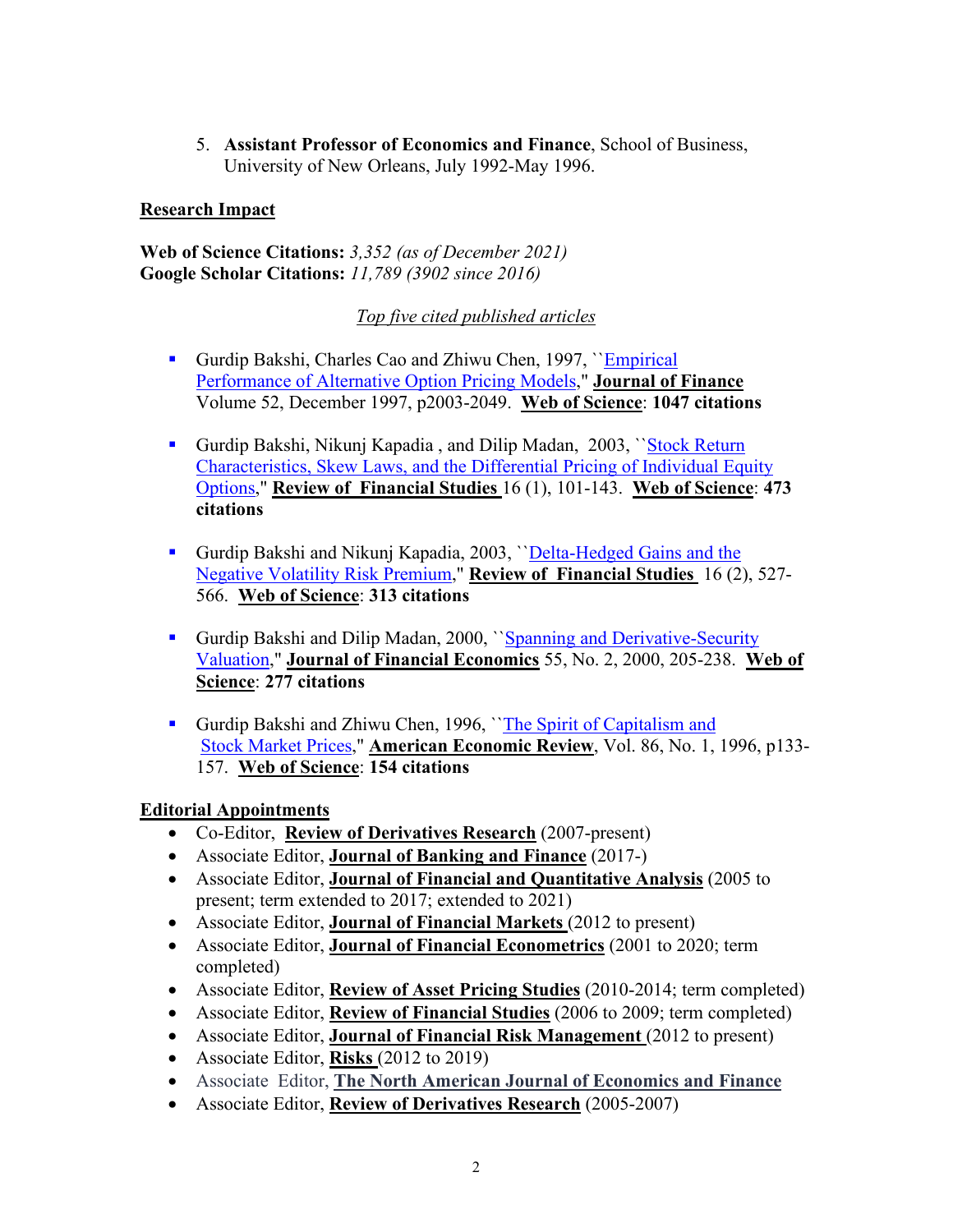5. **Assistant Professor of Economics and Finance**, School of Business, University of New Orleans, July 1992-May 1996.

### **Research Impact**

**Web of Science Citations:** *3,352 (as of December 2021)* **Google Scholar Citations:** *11,789 (3902 since 2016)*

*Top five cited published articles*

- Gurdip Bakshi, Charles Cao and Zhiwu Chen, 1997, ''Empirical Performance of Alternative Option Pricing Models," **Journal of Finance** Volume 52, December 1997, p2003-2049. **Web of Science**: **1047 citations**
- Gurdip Bakshi, Nikunj Kapadia, and Dilip Madan, 2003, 'Stock Return Characteristics, Skew Laws, and the Differential Pricing of Individual Equity Options," **Review of Financial Studies** 16 (1), 101-143. **Web of Science**: **473 citations**
- Gurdip Bakshi and Nikunj Kapadia, 2003, ''Delta-Hedged Gains and the Negative Volatility Risk Premium," **Review of Financial Studies** 16 (2), 527- 566. **Web of Science**: **313 citations**
- Gurdip Bakshi and Dilip Madan, 2000, ``Spanning and Derivative-Security Valuation," **Journal of Financial Economics** 55, No. 2, 2000, 205-238. **Web of Science**: **277 citations**
- Gurdip Bakshi and Zhiwu Chen, 1996, 'The Spirit of Capitalism and Stock Market Prices," **American Economic Review**, Vol. 86, No. 1, 1996, p133- 157. **Web of Science**: **154 citations**

# **Editorial Appointments**

- Co-Editor, **Review of Derivatives Research** (2007-present)
- Associate Editor, **Journal of Banking and Finance** (2017-)
- Associate Editor, **Journal of Financial and Quantitative Analysis** (2005 to present; term extended to 2017; extended to 2021)
- Associate Editor, **Journal of Financial Markets** (2012 to present)
- Associate Editor, **Journal of Financial Econometrics** (2001 to 2020; term completed)
- Associate Editor, **Review of Asset Pricing Studies** (2010-2014; term completed)
- Associate Editor, **Review of Financial Studies** (2006 to 2009; term completed)
- Associate Editor, **Journal of Financial Risk Management** (2012 to present)
- Associate Editor, **Risks** (2012 to 2019)
- Associate Editor, **The North American Journal of Economics and Finance**
- Associate Editor, **Review of Derivatives Research** (2005-2007)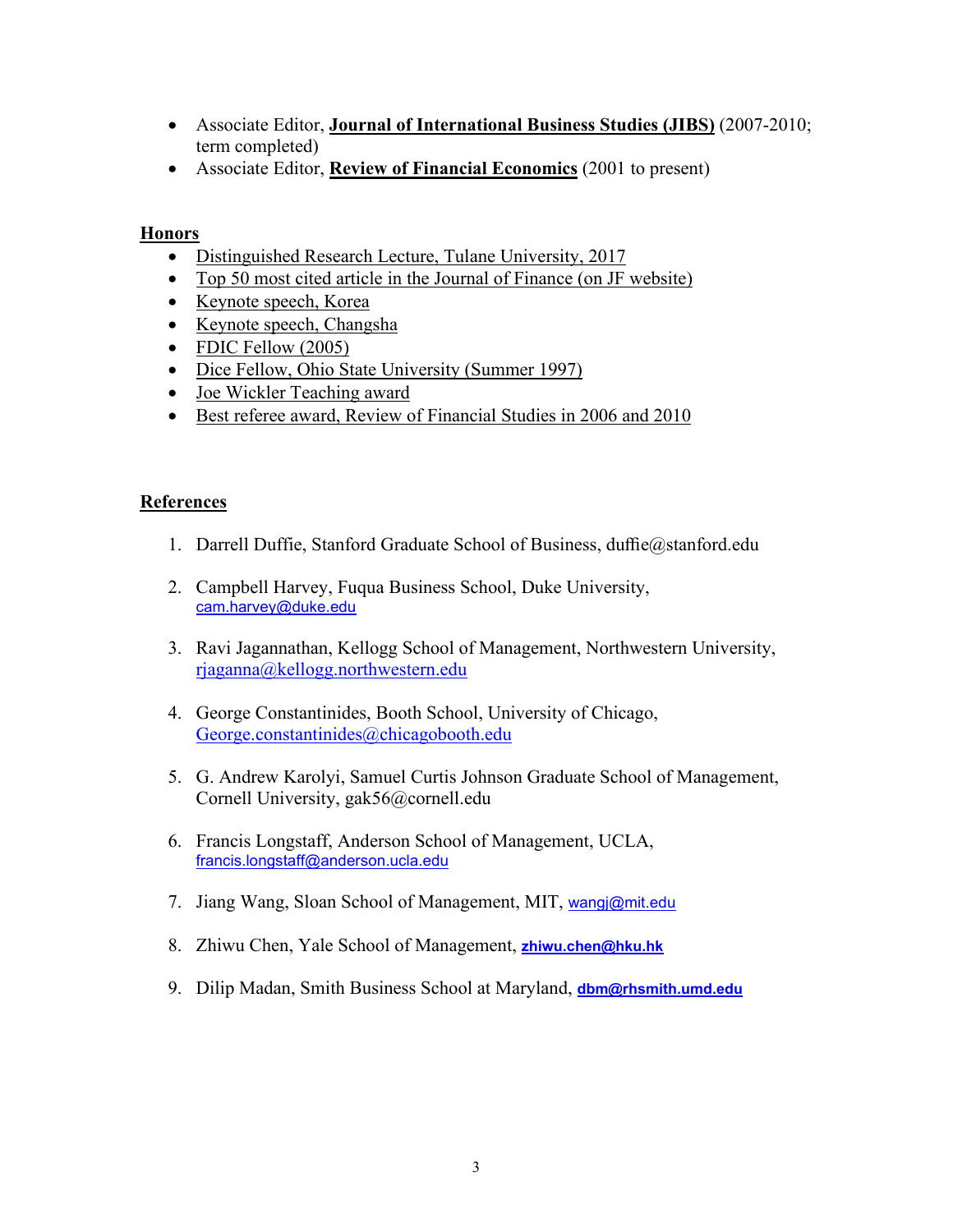- Associate Editor, **Journal of International Business Studies (JIBS)** (2007-2010; term completed)
- Associate Editor, **Review of Financial Economics** (2001 to present)

### **Honors**

- Distinguished Research Lecture, Tulane University, 2017
- Top 50 most cited article in the Journal of Finance (on JF website)
- Keynote speech, Korea
- Keynote speech, Changsha
- FDIC Fellow (2005)
- Dice Fellow, Ohio State University (Summer 1997)
- Joe Wickler Teaching award
- Best referee award, Review of Financial Studies in 2006 and 2010

### **References**

- 1. Darrell Duffie, Stanford Graduate School of Business, duffie@stanford.edu
- 2. Campbell Harvey, Fuqua Business School, Duke University, [cam.harvey@duke.edu](mailto:cam.harvey@duke.edu)
- 3. Ravi Jagannathan, Kellogg School of Management, Northwestern University, [rjaganna@kellogg.northwestern.edu](mailto:rjaganna@kellogg.northwestern.edu)
- 4. George Constantinides, Booth School, University of Chicago, [George.constantinides@chicagobooth.edu](mailto:George.constantinides@chicagobooth.edu)
- 5. G. Andrew Karolyi, Samuel Curtis Johnson Graduate School of Management, Cornell University, gak56@cornell.edu
- 6. Francis Longstaff, Anderson School of Management, UCLA, [francis.longstaff@anderson.ucla.edu](mailto:francis.longstaff@anderson.ucla.edu)
- 7. Jiang Wang, Sloan School of Management, MIT, [wangj@mit.edu](mailto:wangj@mit.edu)
- 8. Zhiwu Chen, Yale School of Management, **[zhiwu.chen@hku.hk](mailto:zhiwu.chen@hku.hk)**
- 9. Dilip Madan, Smith Business School at Maryland, **dbm@rhsmith.umd.edu**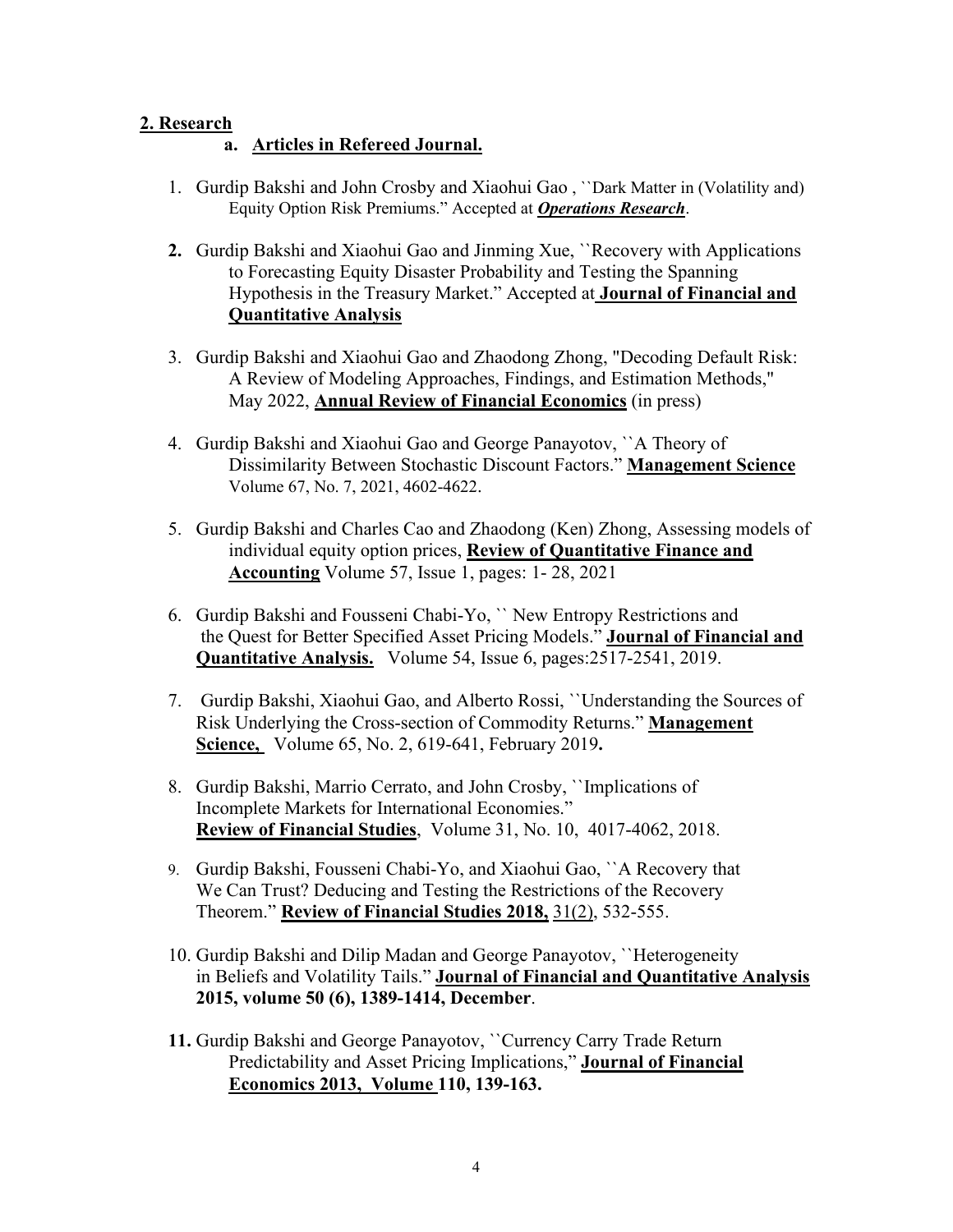# **2. Research**

# **a. Articles in Refereed Journal.**

- 1. Gurdip Bakshi and John Crosby and Xiaohui Gao , ``Dark Matter in (Volatility and) Equity Option Risk Premiums." Accepted at *Operations Research*.
- **2.** Gurdip Bakshi and Xiaohui Gao and Jinming Xue, ``Recovery with Applications to Forecasting Equity Disaster Probability and Testing the Spanning Hypothesis in the Treasury Market." Accepted at **Journal of Financial and Quantitative Analysis**
- 3. Gurdip Bakshi and Xiaohui Gao and Zhaodong Zhong, "Decoding Default Risk: A Review of Modeling Approaches, Findings, and Estimation Methods," May 2022, **Annual Review of Financial Economics** (in press)
- 4. Gurdip Bakshi and Xiaohui Gao and George Panayotov, ``A Theory of Dissimilarity Between Stochastic Discount Factors." **Management Science** Volume 67, No. 7, 2021, 4602-4622.
- 5. Gurdip Bakshi and Charles Cao and Zhaodong (Ken) Zhong, Assessing models of individual equity option prices, **Review of Quantitative Finance and Accounting** Volume 57, Issue 1, pages: 1- 28, 2021
- 6. Gurdip Bakshi and Fousseni Chabi-Yo, `` New Entropy Restrictions and the Quest for Better Specified Asset Pricing Models." **Journal of Financial and Quantitative Analysis.** Volume 54, Issue 6, pages:2517-2541, 2019.
- 7. Gurdip Bakshi, Xiaohui Gao, and Alberto Rossi, ``Understanding the Sources of Risk Underlying the Cross-section of Commodity Returns." **Management Science,** Volume 65, No. 2, 619-641, February 2019**.**
- 8. Gurdip Bakshi, Marrio Cerrato, and John Crosby, ``Implications of Incomplete Markets for International Economies." **Review of Financial Studies**, Volume 31, No. 10, 4017-4062, 2018.
- 9. Gurdip Bakshi, Fousseni Chabi-Yo, and Xiaohui Gao, ``A Recovery that We Can Trust? Deducing and Testing the Restrictions of the Recovery Theorem." **Review of Financial Studies 2018,** 31(2), 532-555.
- 10. Gurdip Bakshi and Dilip Madan and George Panayotov, ``Heterogeneity in Beliefs and Volatility Tails." **Journal of Financial and Quantitative Analysis 2015, volume 50 (6), 1389-1414, December**.
- **11.** Gurdip Bakshi and George Panayotov, ``Currency Carry Trade Return Predictability and Asset Pricing Implications," **Journal of Financial Economics 2013, Volume 110, 139-163.**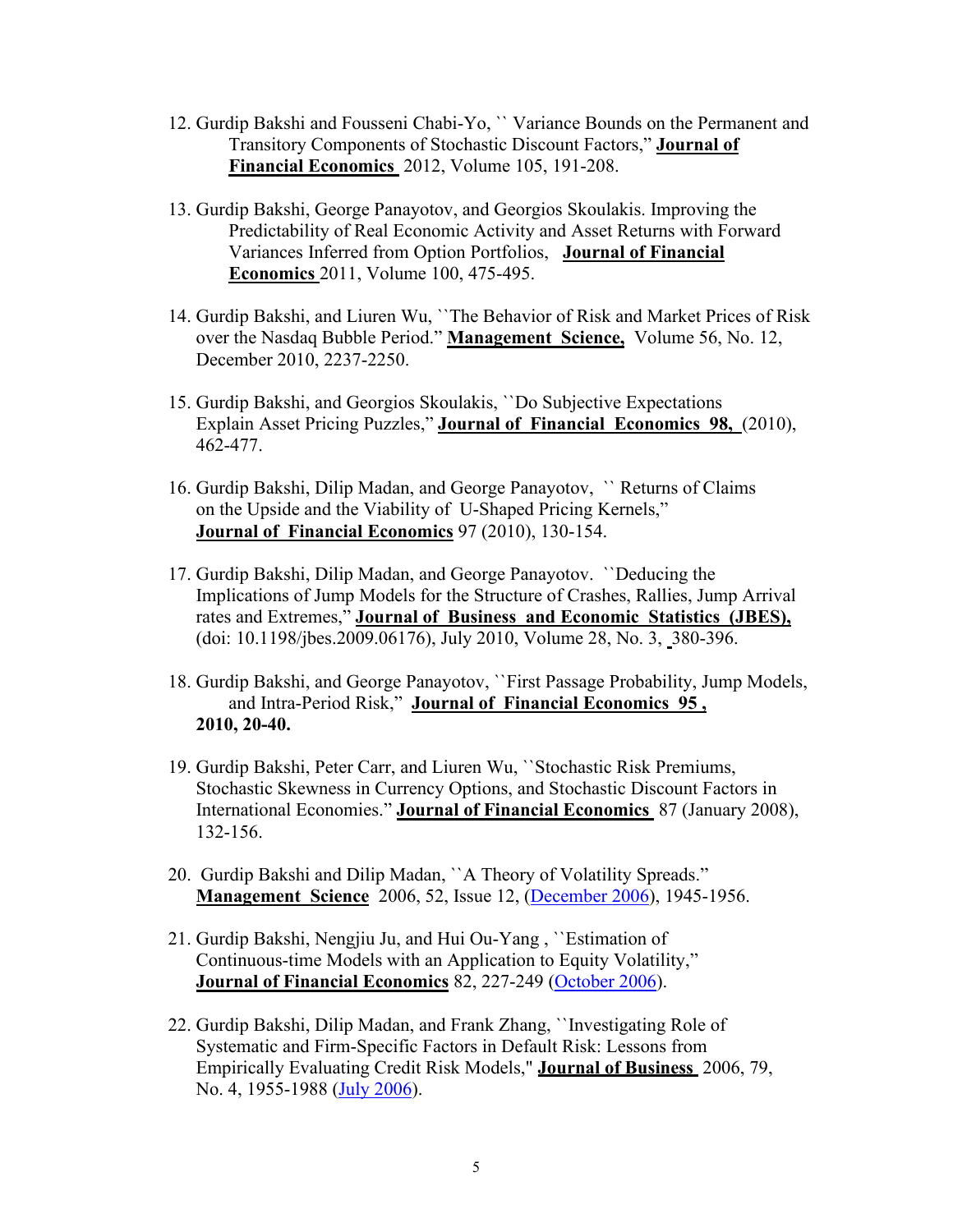- 12. Gurdip Bakshi and Fousseni Chabi-Yo, `` Variance Bounds on the Permanent and Transitory Components of Stochastic Discount Factors," **Journal of Financial Economics** 2012, Volume 105, 191-208.
- 13. Gurdip Bakshi, George Panayotov, and Georgios Skoulakis. Improving the Predictability of Real Economic Activity and Asset Returns with Forward Variances Inferred from Option Portfolios, **Journal of Financial Economics** 2011, Volume 100, 475-495.
- 14. Gurdip Bakshi, and Liuren Wu, ``The Behavior of Risk and Market Prices of Risk over the Nasdaq Bubble Period." **Management Science,** Volume 56, No. 12, December 2010, 2237-2250.
- 15. Gurdip Bakshi, and Georgios Skoulakis, ``Do Subjective Expectations Explain Asset Pricing Puzzles," **Journal of Financial Economics 98,** (2010), 462-477.
- 16. Gurdip Bakshi, Dilip Madan, and George Panayotov, `` Returns of Claims on the Upside and the Viability of U-Shaped Pricing Kernels," **Journal of Financial Economics** 97 (2010), 130-154.
- 17. Gurdip Bakshi, Dilip Madan, and George Panayotov. ``Deducing the Implications of Jump Models for the Structure of Crashes, Rallies, Jump Arrival rates and Extremes," **Journal of Business and Economic Statistics (JBES),**  (doi: 10.1198/jbes.2009.06176), July 2010, Volume 28, No. 3, 380-396.
- 18. Gurdip Bakshi, and George Panayotov, ``First Passage Probability, Jump Models, and Intra-Period Risk," **Journal of Financial Economics 95 , 2010, 20-40.**
- 19. Gurdip Bakshi, Peter Carr, and Liuren Wu, ``Stochastic Risk Premiums, Stochastic Skewness in Currency Options, and Stochastic Discount Factors in International Economies." **Journal of Financial Economics** 87 (January 2008), 132-156.
- 20. Gurdip Bakshi and Dilip Madan, ``A Theory of Volatility Spreads." **Management Science** 2006, 52, Issue 12, (December 2006), 1945-1956.
- 21. Gurdip Bakshi, Nengjiu Ju, and Hui Ou-Yang , ``Estimation of Continuous-time Models with an Application to Equity Volatility," **Journal of Financial Economics** 82, 227-249 (October 2006).
- 22. Gurdip Bakshi, Dilip Madan, and Frank Zhang, ``Investigating Role of Systematic and Firm-Specific Factors in Default Risk: Lessons from Empirically Evaluating Credit Risk Models," **Journal of Business** 2006, 79, No. 4, 1955-1988 (July 2006).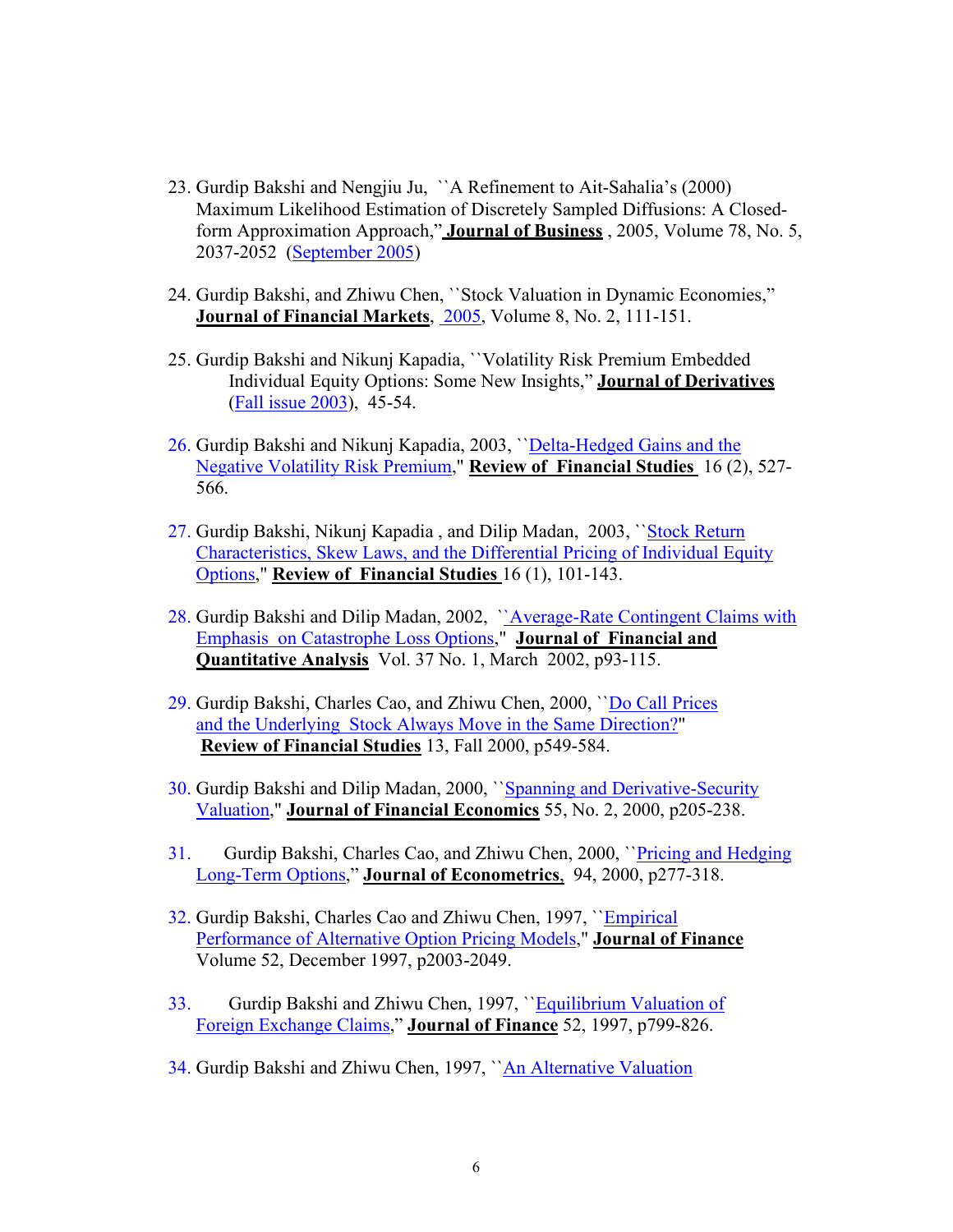- 23. Gurdip Bakshi and Nengjiu Ju, ``A Refinement to Ait-Sahalia's (2000) Maximum Likelihood Estimation of Discretely Sampled Diffusions: A Closedform Approximation Approach," **Journal of Business** , 2005, Volume 78, No. 5, 2037-2052 (September 2005)
- 24. Gurdip Bakshi, and Zhiwu Chen, ``Stock Valuation in Dynamic Economies," **Journal of Financial Markets**, 2005, Volume 8, No. 2, 111-151.
- 25. Gurdip Bakshi and Nikunj Kapadia, ``Volatility Risk Premium Embedded Individual Equity Options: Some New Insights," **Journal of Derivatives** (Fall issue 2003), 45-54.
- 26. Gurdip Bakshi and Nikunj Kapadia, 2003, ``Delta-Hedged Gains and the Negative Volatility Risk Premium," **Review of Financial Studies** 16 (2), 527- 566.
- 27. Gurdip Bakshi, Nikunj Kapadia , and Dilip Madan, 2003, ``Stock Return Characteristics, Skew Laws, and the Differential Pricing of Individual Equity Options," **Review of Financial Studies** 16 (1), 101-143.
- 28. Gurdip Bakshi and Dilip Madan, 2002, ''Average-Rate Contingent Claims with Emphasis on Catastrophe Loss Options," **Journal of Financial and Quantitative Analysis** Vol. 37 No. 1, March 2002, p93-115.
- 29. Gurdip Bakshi, Charles Cao, and Zhiwu Chen, 2000, ``Do Call Prices and the Underlying Stock Always Move in the Same Direction?" **Review of Financial Studies** 13, Fall 2000, p549-584.
- 30. Gurdip Bakshi and Dilip Madan, 2000, ``Spanning and Derivative-Security Valuation," **Journal of Financial Economics** 55, No. 2, 2000, p205-238.
- 31. Gurdip Bakshi, Charles Cao, and Zhiwu Chen, 2000, ``Pricing and Hedging Long-Term Options," **Journal of Econometrics**, 94, 2000, p277-318.
- 32. Gurdip Bakshi, Charles Cao and Zhiwu Chen, 1997, ``Empirical Performance of Alternative Option Pricing Models," **Journal of Finance** Volume 52, December 1997, p2003-2049.
- 33. Gurdip Bakshi and Zhiwu Chen, 1997, "Equilibrium Valuation of Foreign Exchange Claims," **Journal of Finance** 52, 1997, p799-826.
- 34. Gurdip Bakshi and Zhiwu Chen, 1997, ``An Alternative Valuation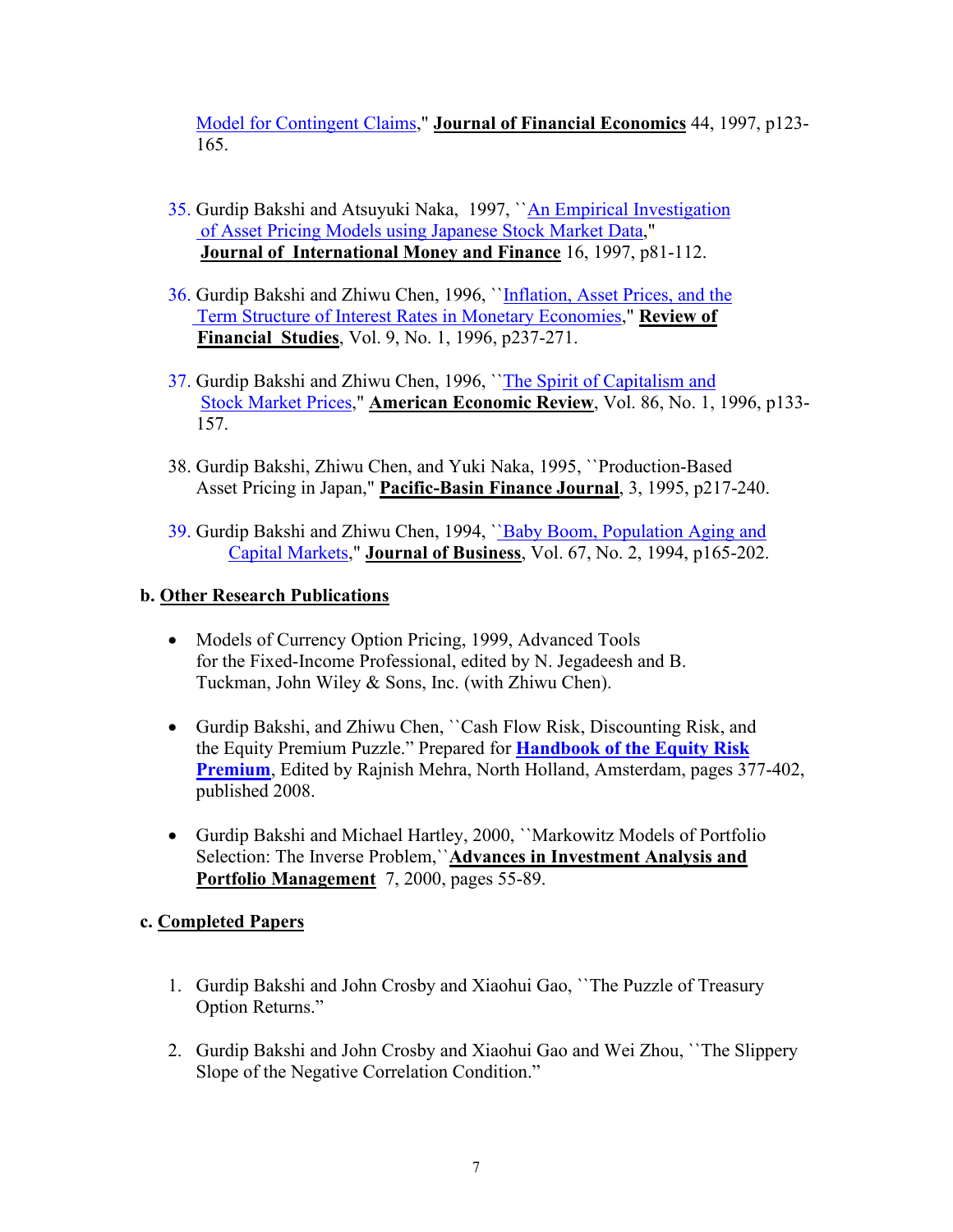Model for Contingent Claims," **Journal of Financial Economics** 44, 1997, p123- 165.

- 35. Gurdip Bakshi and Atsuyuki Naka, 1997, ``An Empirical Investigation of Asset Pricing Models using Japanese Stock Market Data," **Journal of International Money and Finance** 16, 1997, p81-112.
- 36. Gurdip Bakshi and Zhiwu Chen, 1996, "Inflation, Asset Prices, and the Term Structure of Interest Rates in Monetary Economies," **Review of Financial Studies**, Vol. 9, No. 1, 1996, p237-271.
- 37. Gurdip Bakshi and Zhiwu Chen, 1996, ``The Spirit of Capitalism and Stock Market Prices," **American Economic Review**, Vol. 86, No. 1, 1996, p133- 157.
- 38. Gurdip Bakshi, Zhiwu Chen, and Yuki Naka, 1995, ``Production-Based Asset Pricing in Japan," **Pacific-Basin Finance Journal**, 3, 1995, p217-240.
- 39. Gurdip Bakshi and Zhiwu Chen, 1994, ``Baby Boom, Population Aging and Capital Markets," **Journal of Business**, Vol. 67, No. 2, 1994, p165-202.

# **b. Other Research Publications**

- Models of Currency Option Pricing, 1999, Advanced Tools for the Fixed-Income Professional, edited by N. Jegadeesh and B. Tuckman, John Wiley & Sons, Inc. (with Zhiwu Chen).
- Gurdip Bakshi, and Zhiwu Chen, ``Cash Flow Risk, Discounting Risk, and the Equity Premium Puzzle." Prepared for **Handbook of the Equity Risk Premium**, Edited by Rajnish Mehra, North Holland, Amsterdam, pages 377-402, published 2008.
- Gurdip Bakshi and Michael Hartley, 2000, ``Markowitz Models of Portfolio Selection: The Inverse Problem,``**Advances in Investment Analysis and Portfolio Management** 7, 2000, pages 55-89.

# **c. Completed Papers**

- 1. Gurdip Bakshi and John Crosby and Xiaohui Gao, ``The Puzzle of Treasury Option Returns."
- 2. Gurdip Bakshi and John Crosby and Xiaohui Gao and Wei Zhou, ``The Slippery Slope of the Negative Correlation Condition."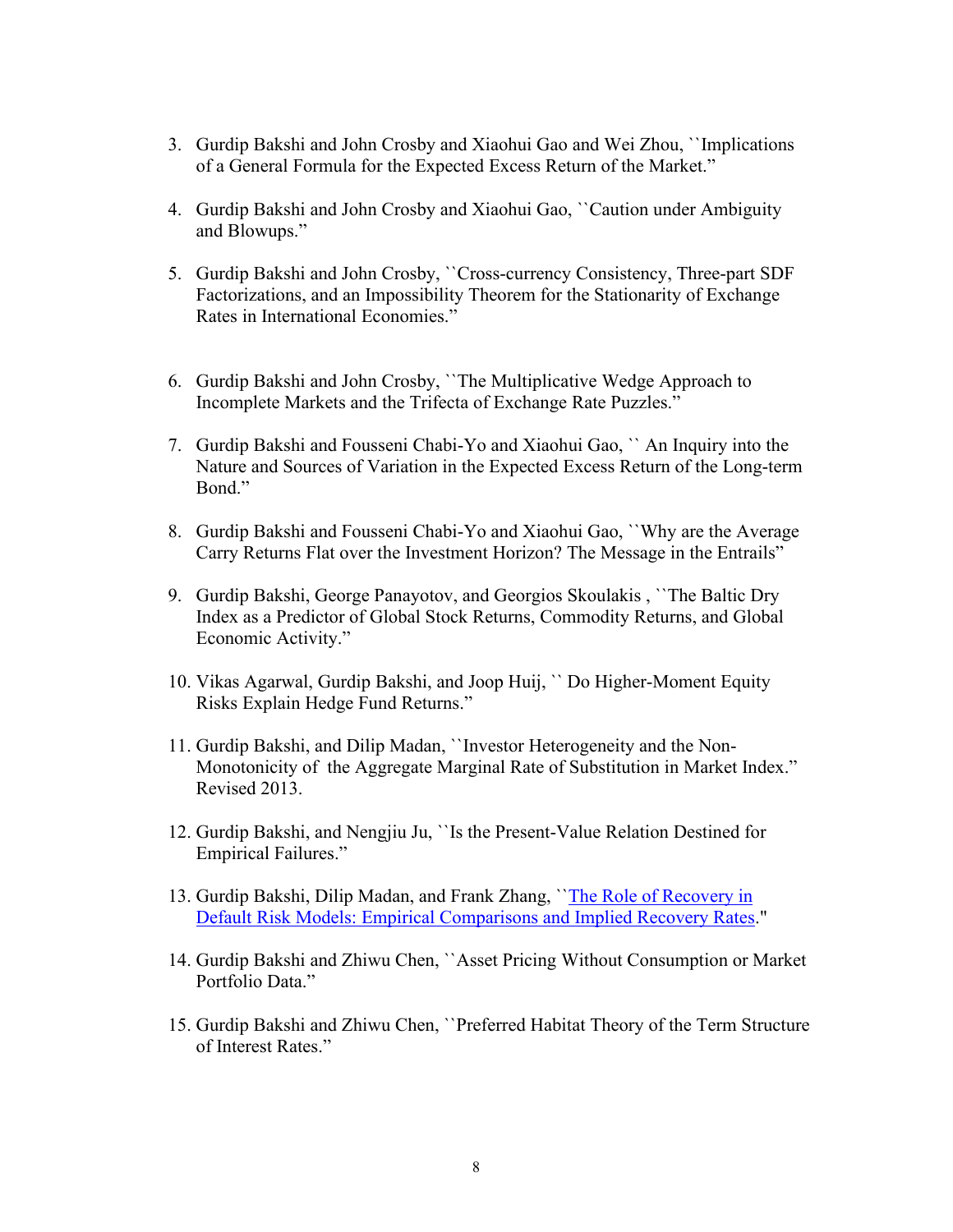- 3. Gurdip Bakshi and John Crosby and Xiaohui Gao and Wei Zhou, ``Implications of a General Formula for the Expected Excess Return of the Market."
- 4. Gurdip Bakshi and John Crosby and Xiaohui Gao, ``Caution under Ambiguity and Blowups."
- 5. Gurdip Bakshi and John Crosby, ``Cross-currency Consistency, Three-part SDF Factorizations, and an Impossibility Theorem for the Stationarity of Exchange Rates in International Economies."
- 6. Gurdip Bakshi and John Crosby, ``The Multiplicative Wedge Approach to Incomplete Markets and the Trifecta of Exchange Rate Puzzles."
- 7. Gurdip Bakshi and Fousseni Chabi-Yo and Xiaohui Gao, `` An Inquiry into the Nature and Sources of Variation in the Expected Excess Return of the Long-term Bond."
- 8. Gurdip Bakshi and Fousseni Chabi-Yo and Xiaohui Gao, ``Why are the Average Carry Returns Flat over the Investment Horizon? The Message in the Entrails"
- 9. Gurdip Bakshi, George Panayotov, and Georgios Skoulakis , ``The Baltic Dry Index as a Predictor of Global Stock Returns, Commodity Returns, and Global Economic Activity."
- 10. Vikas Agarwal, Gurdip Bakshi, and Joop Huij, `` Do Higher-Moment Equity Risks Explain Hedge Fund Returns."
- 11. Gurdip Bakshi, and Dilip Madan, ``Investor Heterogeneity and the Non-Monotonicity of the Aggregate Marginal Rate of Substitution in Market Index." Revised 2013.
- 12. Gurdip Bakshi, and Nengjiu Ju, ``Is the Present-Value Relation Destined for Empirical Failures."
- 13. Gurdip Bakshi, Dilip Madan, and Frank Zhang, `[`The Role of Recovery in](http://www.smith.umd.edu/faculty/gbakshi/recoveryrisk.pdf)  [Default Risk Models: Empirical Comparisons and Implied Recovery Rates.](http://www.smith.umd.edu/faculty/gbakshi/recoveryrisk.pdf)"
- 14. Gurdip Bakshi and Zhiwu Chen, ``Asset Pricing Without Consumption or Market Portfolio Data."
- 15. Gurdip Bakshi and Zhiwu Chen, ``Preferred Habitat Theory of the Term Structure of Interest Rates."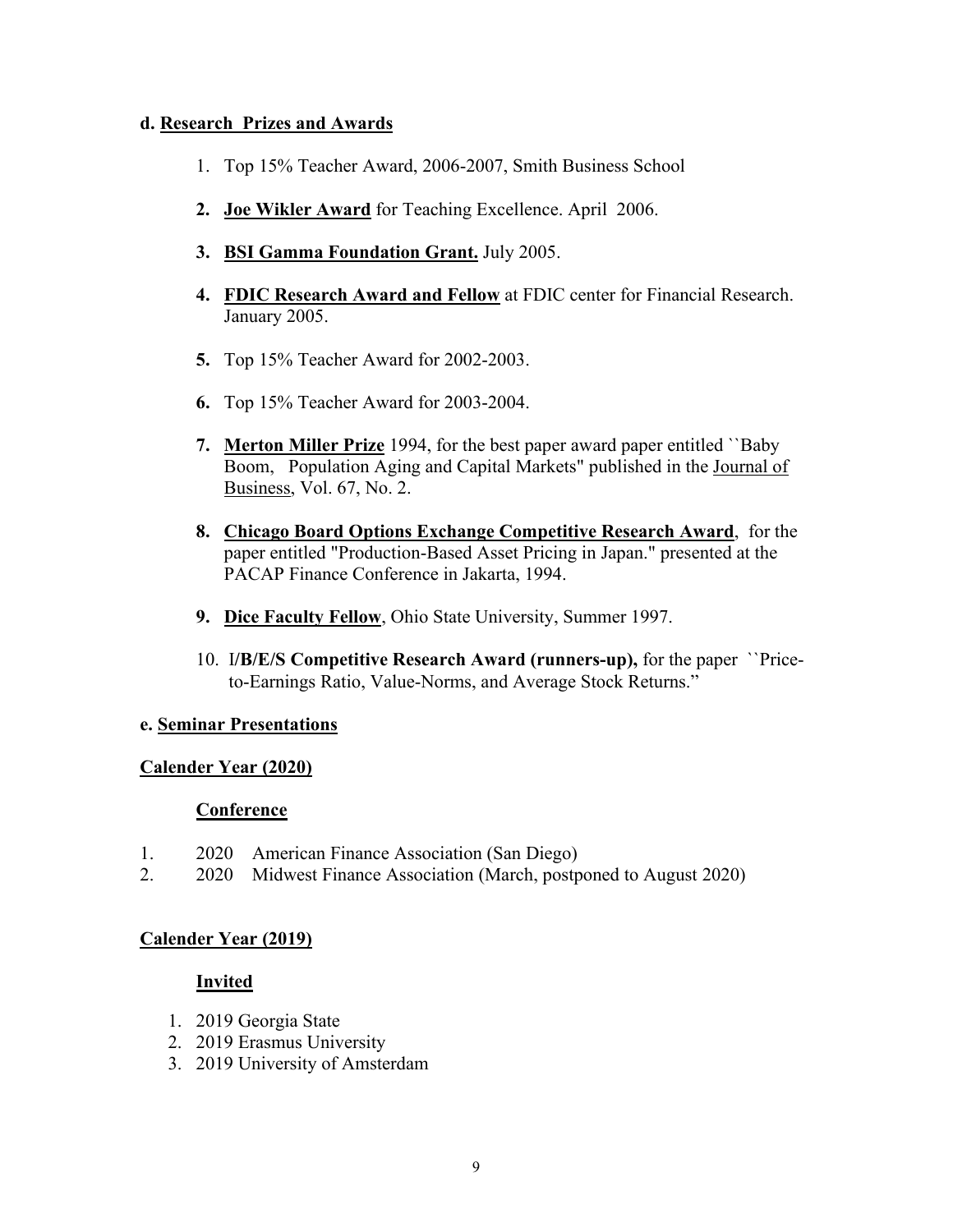### **d. Research Prizes and Awards**

- 1. Top 15% Teacher Award, 2006-2007, Smith Business School
- **2. Joe Wikler Award** for Teaching Excellence. April 2006.
- **3. BSI Gamma Foundation Grant.** July 2005.
- **4. FDIC Research Award and Fellow** at FDIC center for Financial Research. January 2005.
- **5.** Top 15% Teacher Award for 2002-2003.
- **6.** Top 15% Teacher Award for 2003-2004.
- **7. Merton Miller Prize** 1994, for the best paper award paper entitled ``Baby Boom, Population Aging and Capital Markets" published in the Journal of Business, Vol. 67, No. 2.
- **8. Chicago Board Options Exchange Competitive Research Award**, for the paper entitled "Production-Based Asset Pricing in Japan." presented at the PACAP Finance Conference in Jakarta, 1994.
- **9. Dice Faculty Fellow**, Ohio State University, Summer 1997.
- 10. I**/B/E/S Competitive Research Award (runners-up),** for the paper ``Price to-Earnings Ratio, Value-Norms, and Average Stock Returns."

#### **e. Seminar Presentations**

#### **Calender Year (2020)**

#### **Conference**

- 1. 2020 American Finance Association (San Diego)
- 2. 2020 Midwest Finance Association (March, postponed to August 2020)

# **Calender Year (2019)**

- 1. 2019 Georgia State
- 2. 2019 Erasmus University
- 3. 2019 University of Amsterdam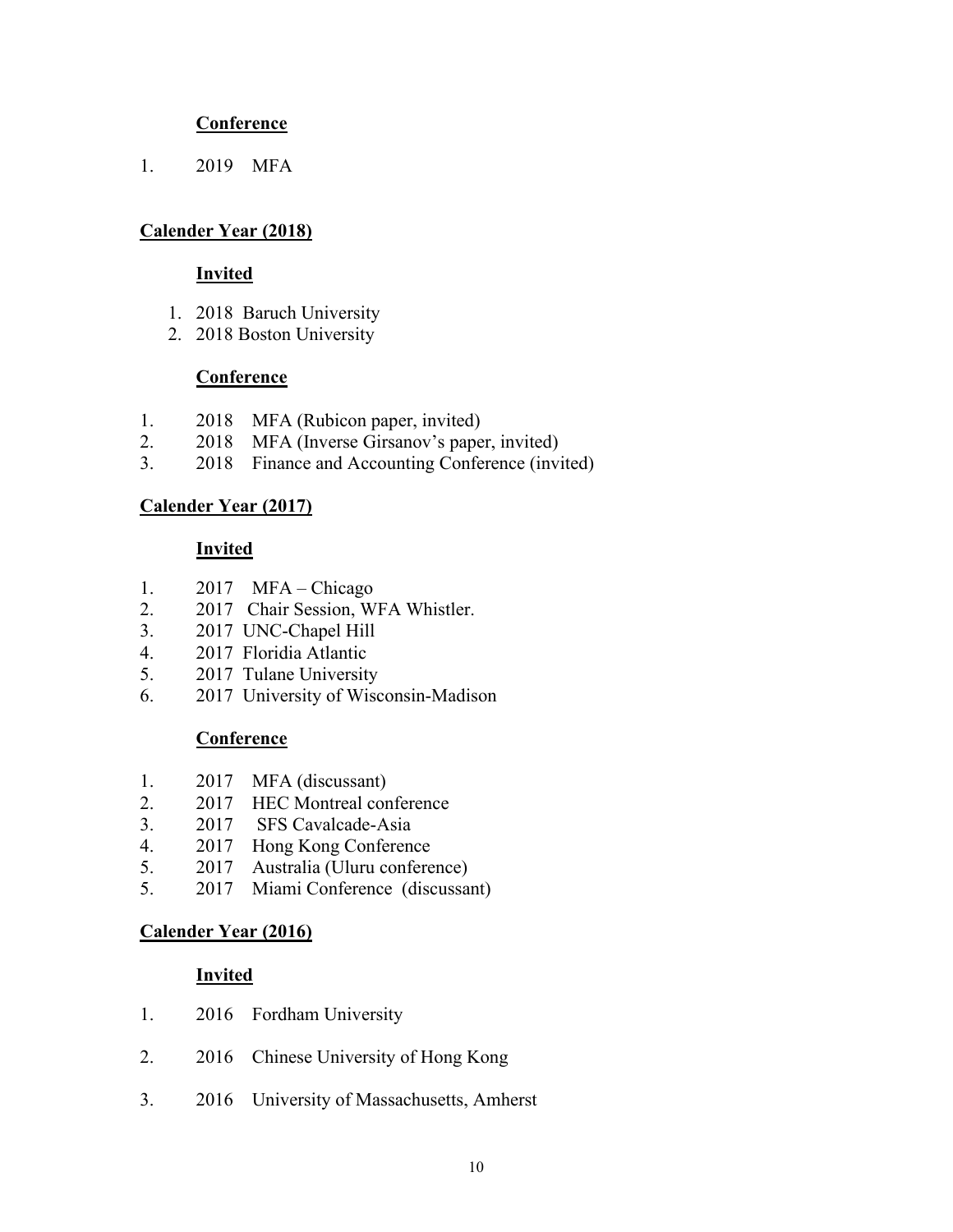1. 2019 MFA

# **Calender Year (2018)**

#### **Invited**

- 1. 2018 Baruch University
- 2. 2018 Boston University

### **Conference**

- 1. 2018 MFA (Rubicon paper, invited)
- 2. 2018 MFA (Inverse Girsanov's paper, invited)
- 3. 2018 Finance and Accounting Conference (invited)

# **Calender Year (2017)**

### **Invited**

- 1. 2017 MFA Chicago
- 2. 2017 Chair Session, WFA Whistler.
- 3. 2017 UNC-Chapel Hill
- 4. 2017 Floridia Atlantic
- 5. 2017 Tulane University
- 6. 2017 University of Wisconsin-Madison

# **Conference**

- 1. 2017 MFA (discussant)
- 2. 2017 HEC Montreal conference
- 3. 2017 SFS Cavalcade-Asia
- 4. 2017 Hong Kong Conference
- 5. 2017 Australia (Uluru conference)
- 5. 2017 Miami Conference (discussant)

# **Calender Year (2016)**

- 1. 2016 Fordham University
- 2. 2016 Chinese University of Hong Kong
- 3. 2016 University of Massachusetts, Amherst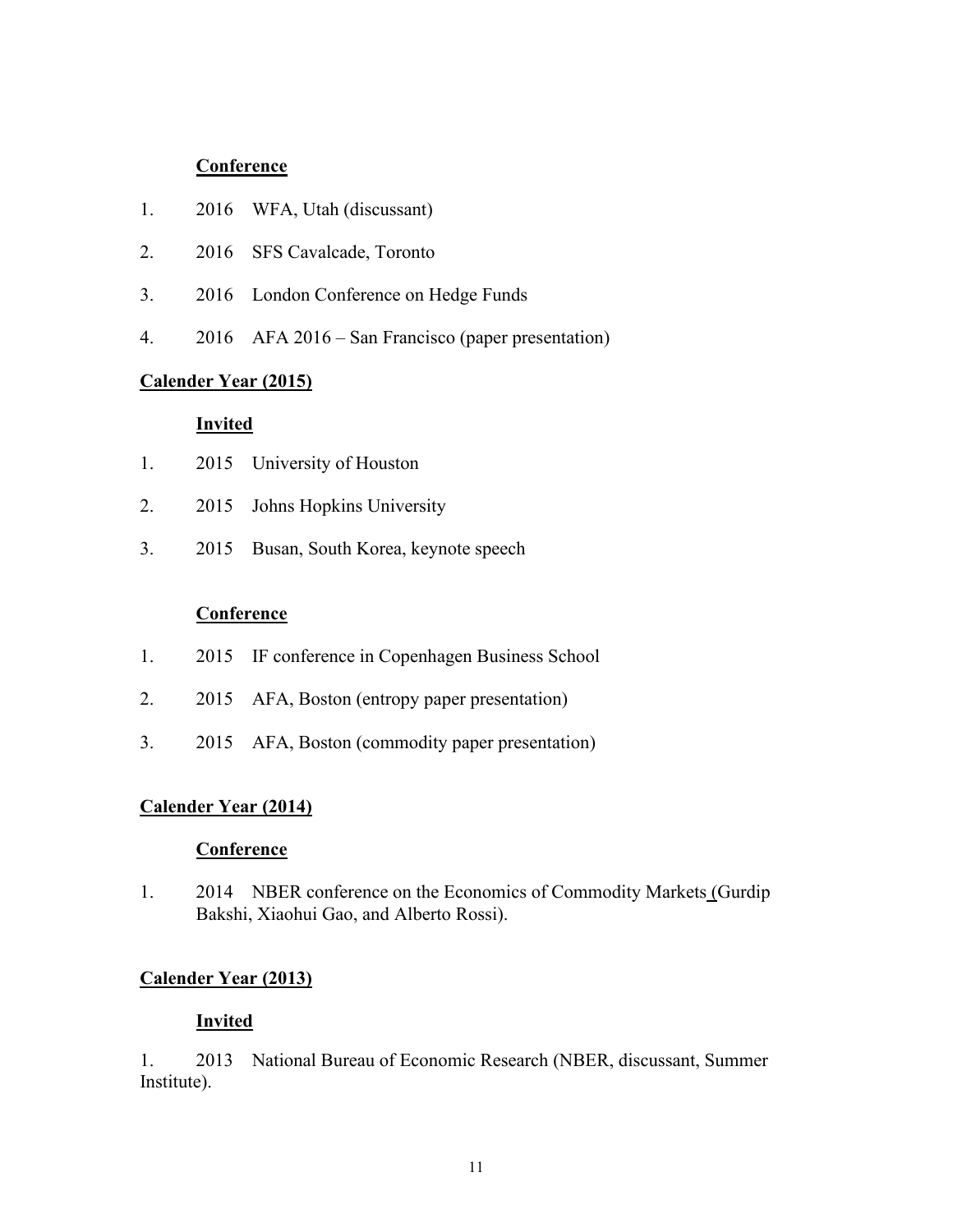- 1. 2016 WFA, Utah (discussant)
- 2. 2016 SFS Cavalcade, Toronto
- 3. 2016 London Conference on Hedge Funds
- 4. 2016 AFA 2016 San Francisco (paper presentation)

# **Calender Year (2015)**

#### **Invited**

- 1. 2015 University of Houston
- 2. 2015 Johns Hopkins University
- 3. 2015 Busan, South Korea, keynote speech

#### **Conference**

- 1. 2015 IF conference in Copenhagen Business School
- 2. 2015 AFA, Boston (entropy paper presentation)
- 3. 2015 AFA, Boston (commodity paper presentation)

#### **Calender Year (2014)**

#### **Conference**

1. 2014 NBER conference on the Economics of Commodity Markets (Gurdip Bakshi, Xiaohui Gao, and Alberto Rossi).

### **Calender Year (2013)**

#### **Invited**

1. 2013 National Bureau of Economic Research (NBER, discussant, Summer Institute).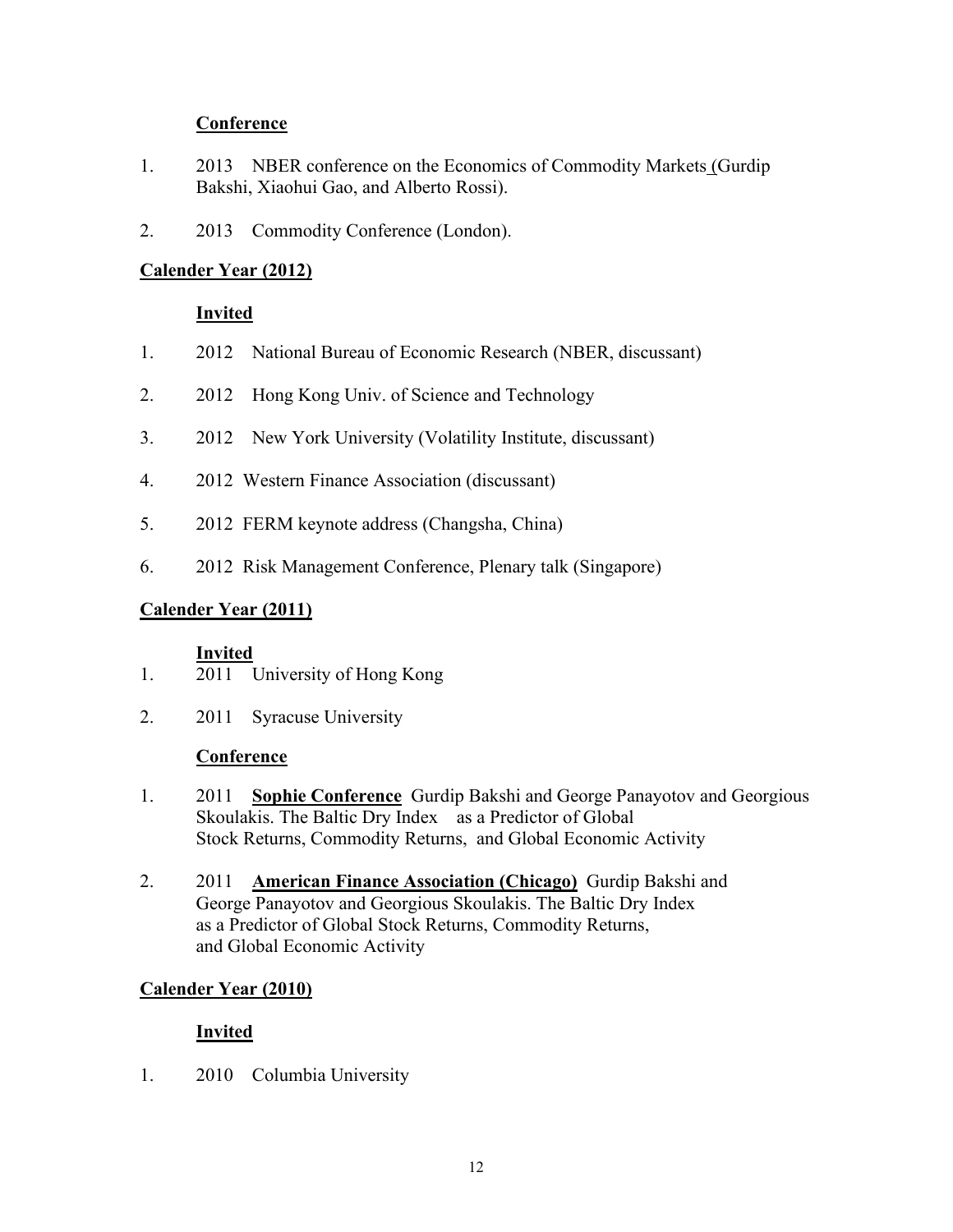- 1. 2013 NBER conference on the Economics of Commodity Markets (Gurdip Bakshi, Xiaohui Gao, and Alberto Rossi).
- 2. 2013 Commodity Conference (London).

# **Calender Year (2012)**

# **Invited**

- 1. 2012 National Bureau of Economic Research (NBER, discussant)
- 2. 2012 Hong Kong Univ. of Science and Technology
- 3. 2012 New York University (Volatility Institute, discussant)
- 4. 2012 Western Finance Association (discussant)
- 5. 2012 FERM keynote address (Changsha, China)
- 6. 2012 Risk Management Conference, Plenary talk (Singapore)

# **Calender Year (2011)**

#### **Invited**

- 1. 2011 University of Hong Kong
- 2. 2011 Syracuse University

#### **Conference**

- 1. 2011 **Sophie Conference** Gurdip Bakshi and George Panayotov and Georgious Skoulakis. The Baltic Dry Index as a Predictor of Global Stock Returns, Commodity Returns, and Global Economic Activity
- 2. 2011 **American Finance Association (Chicago)** Gurdip Bakshi and George Panayotov and Georgious Skoulakis. The Baltic Dry Index as a Predictor of Global Stock Returns, Commodity Returns, and Global Economic Activity

# **Calender Year (2010)**

# **Invited**

1. 2010 Columbia University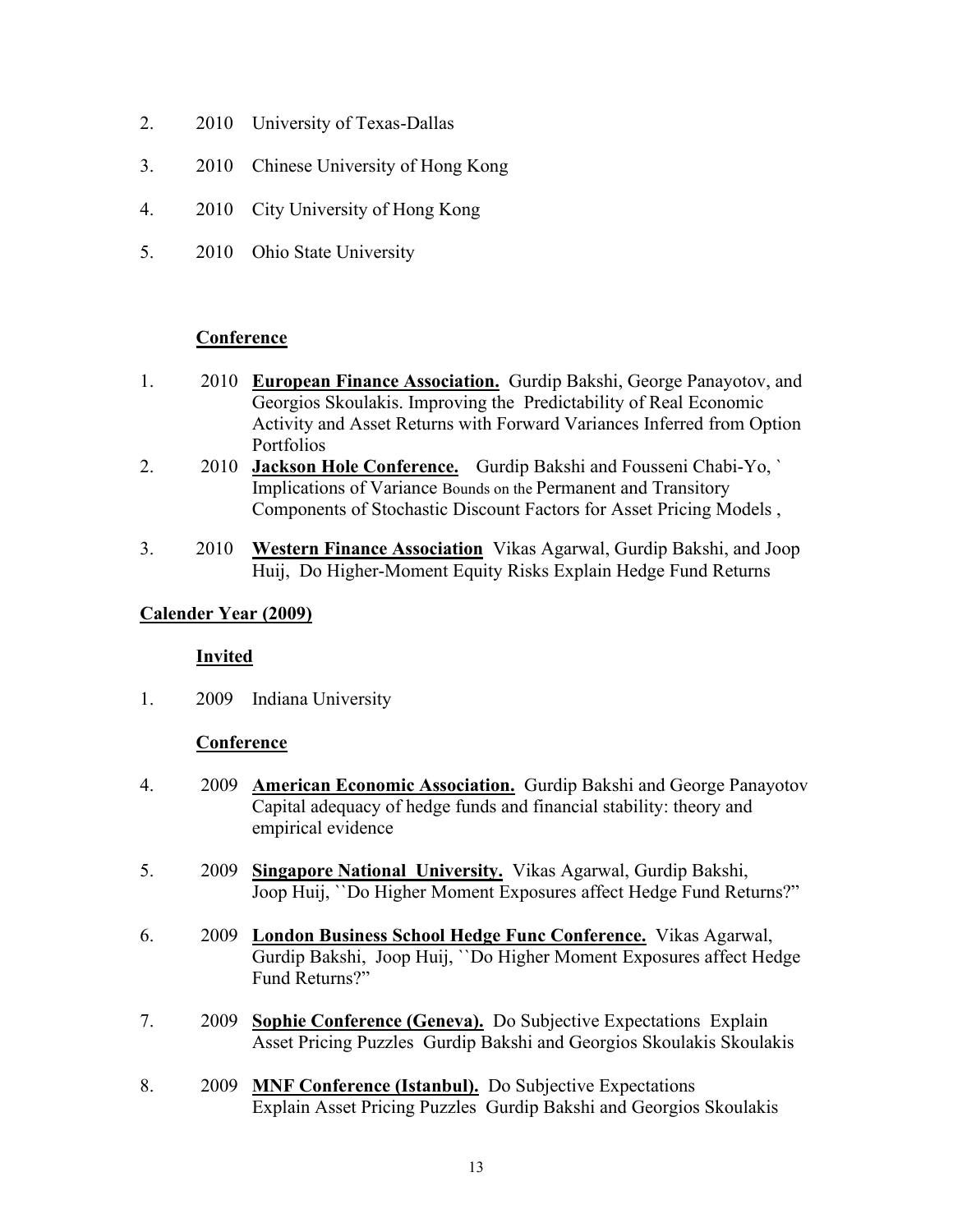- 2. 2010 University of Texas-Dallas
- 3. 2010 Chinese University of Hong Kong
- 4. 2010 City University of Hong Kong
- 5. 2010 Ohio State University

- 1. 2010 **European Finance Association.** Gurdip Bakshi, George Panayotov, and Georgios Skoulakis. Improving the Predictability of Real Economic Activity and Asset Returns with Forward Variances Inferred from Option Portfolios
- 2. 2010 **Jackson Hole Conference.** Gurdip Bakshi and Fousseni Chabi-Yo, ` Implications of Variance Bounds on the Permanent and Transitory Components of Stochastic Discount Factors for Asset Pricing Models ,
- 3. 2010 **Western Finance Association** Vikas Agarwal, Gurdip Bakshi, and Joop Huij, Do Higher-Moment Equity Risks Explain Hedge Fund Returns

# **Calender Year (2009)**

# **Invited**

1. 2009 Indiana University

# **Conference**

- 4. 2009 **American Economic Association.** Gurdip Bakshi and George Panayotov Capital adequacy of hedge funds and financial stability: theory and empirical evidence
- 5. 2009 **Singapore National University.** Vikas Agarwal, Gurdip Bakshi, Joop Huij, ``Do Higher Moment Exposures affect Hedge Fund Returns?"
- 6. 2009 **London Business School Hedge Func Conference.** Vikas Agarwal, Gurdip Bakshi, Joop Huij, ``Do Higher Moment Exposures affect Hedge Fund Returns?"
- 7. 2009 **Sophie Conference (Geneva).** Do Subjective Expectations Explain Asset Pricing Puzzles Gurdip Bakshi and Georgios Skoulakis Skoulakis
- 8. 2009 **MNF Conference (Istanbul).** Do Subjective Expectations Explain Asset Pricing Puzzles Gurdip Bakshi and Georgios Skoulakis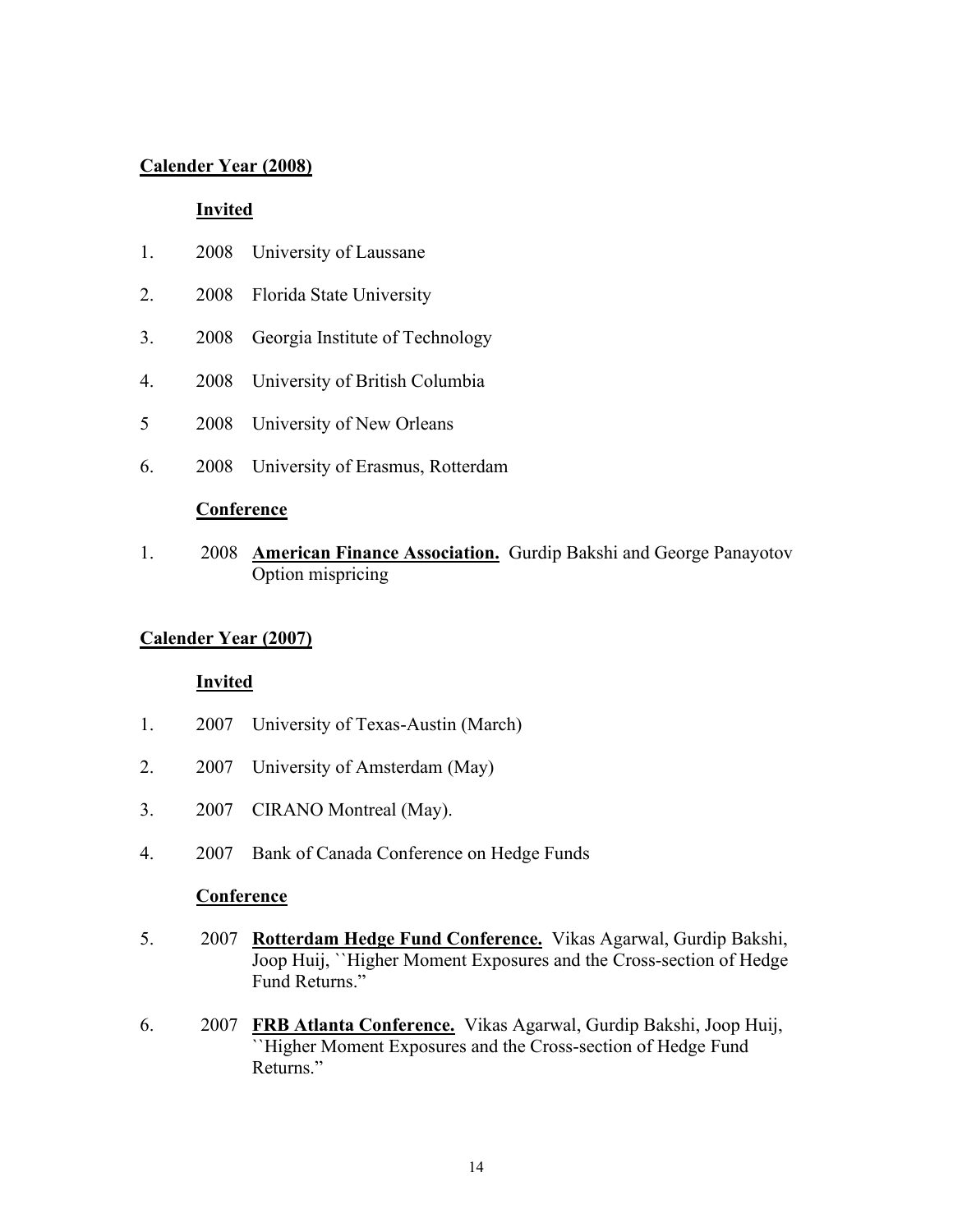### **Calender Year (2008)**

#### **Invited**

- 1. 2008 University of Laussane
- 2. 2008 Florida State University
- 3. 2008 Georgia Institute of Technology
- 4. 2008 University of British Columbia
- 5 2008 University of New Orleans
- 6. 2008 University of Erasmus, Rotterdam

#### **Conference**

1. 2008 **American Finance Association.** Gurdip Bakshi and George Panayotov Option mispricing

# **Calender Year (2007)**

#### **Invited**

- 1. 2007 University of Texas-Austin (March)
- 2. 2007 University of Amsterdam (May)
- 3. 2007 CIRANO Montreal (May).
- 4. 2007 Bank of Canada Conference on Hedge Funds

#### **Conference**

- 5. 2007 **Rotterdam Hedge Fund Conference.** Vikas Agarwal, Gurdip Bakshi, Joop Huij, ``Higher Moment Exposures and the Cross-section of Hedge Fund Returns."
- 6. 2007 **FRB Atlanta Conference.** Vikas Agarwal, Gurdip Bakshi, Joop Huij, ``Higher Moment Exposures and the Cross-section of Hedge Fund Returns."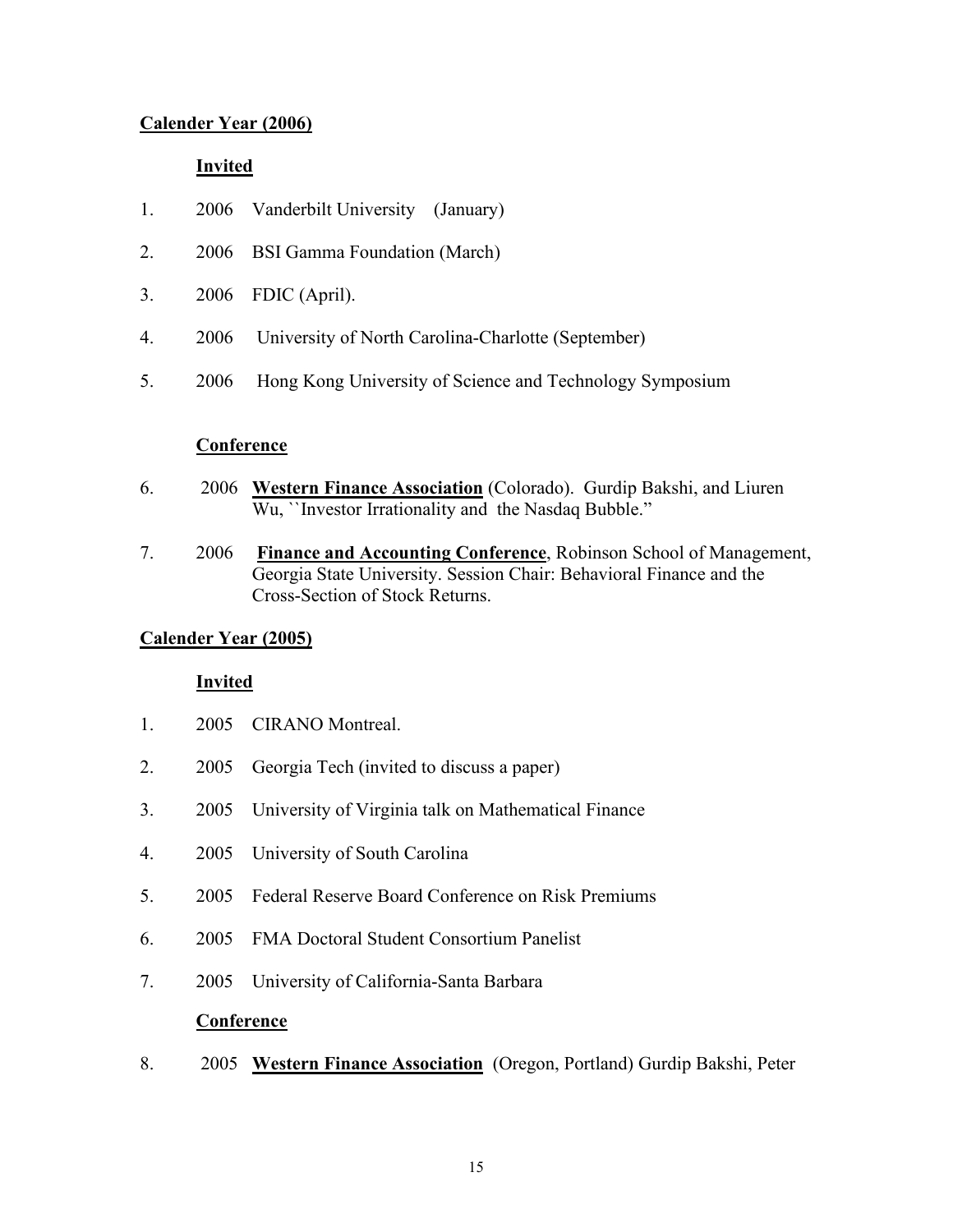# **Calender Year (2006)**

# **Invited**

- 1. 2006 Vanderbilt University (January)
- 2. 2006 BSI Gamma Foundation (March)
- 3. 2006 FDIC (April).
- 4. 2006 University of North Carolina-Charlotte (September)
- 5. 2006 Hong Kong University of Science and Technology Symposium

### **Conference**

- 6. 2006 **Western Finance Association** (Colorado). Gurdip Bakshi, and Liuren Wu, ``Investor Irrationality and the Nasdaq Bubble."
- 7. 2006 **Finance and Accounting Conference**, Robinson School of Management, Georgia State University. Session Chair: Behavioral Finance and the Cross-Section of Stock Returns.

# **Calender Year (2005)**

# **Invited**

- 1. 2005 CIRANO Montreal.
- 2. 2005 Georgia Tech (invited to discuss a paper)
- 3. 2005 University of Virginia talk on Mathematical Finance
- 4. 2005 University of South Carolina
- 5. 2005 Federal Reserve Board Conference on Risk Premiums
- 6. 2005 FMA Doctoral Student Consortium Panelist
- 7. 2005 University of California-Santa Barbara

#### **Conference**

8. 2005 **Western Finance Association** (Oregon, Portland) Gurdip Bakshi, Peter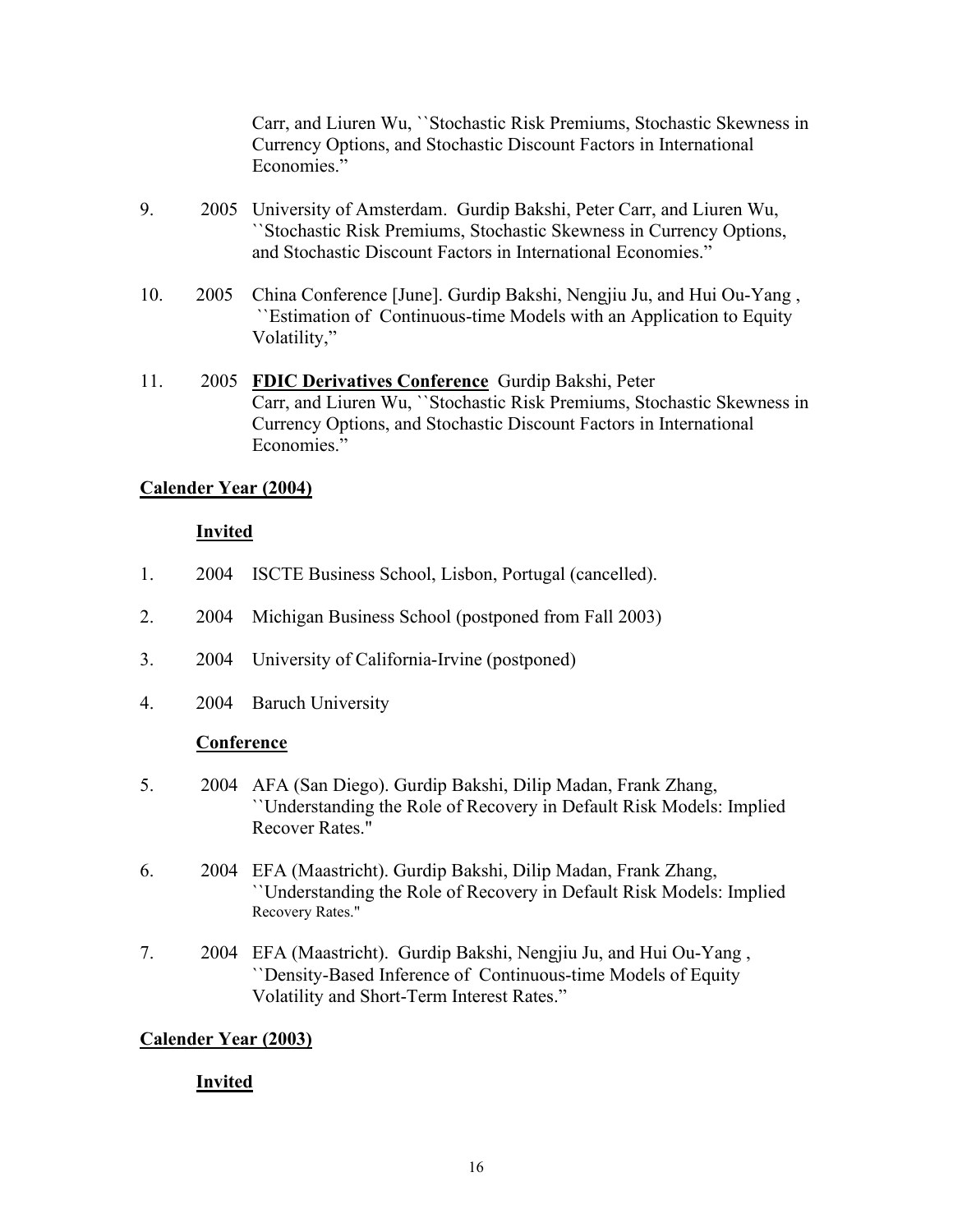Carr, and Liuren Wu, ``Stochastic Risk Premiums, Stochastic Skewness in Currency Options, and Stochastic Discount Factors in International Economies."

- 9. 2005 University of Amsterdam. Gurdip Bakshi, Peter Carr, and Liuren Wu, ``Stochastic Risk Premiums, Stochastic Skewness in Currency Options, and Stochastic Discount Factors in International Economies."
- 10. 2005 China Conference [June]. Gurdip Bakshi, Nengjiu Ju, and Hui Ou-Yang , ``Estimation of Continuous-time Models with an Application to Equity Volatility,"
- 11. 2005 **FDIC Derivatives Conference** Gurdip Bakshi, Peter Carr, and Liuren Wu, ``Stochastic Risk Premiums, Stochastic Skewness in Currency Options, and Stochastic Discount Factors in International Economies."

# **Calender Year (2004)**

### **Invited**

- 1. 2004 ISCTE Business School, Lisbon, Portugal (cancelled).
- 2. 2004 Michigan Business School (postponed from Fall 2003)
- 3. 2004 University of California-Irvine (postponed)
- 4. 2004 Baruch University

#### **Conference**

- 5. 2004 AFA (San Diego). Gurdip Bakshi, Dilip Madan, Frank Zhang, ``Understanding the Role of Recovery in Default Risk Models: Implied Recover Rates."
- 6. 2004 EFA (Maastricht). Gurdip Bakshi, Dilip Madan, Frank Zhang, ``Understanding the Role of Recovery in Default Risk Models: Implied Recovery Rates."
- 7. 2004 EFA (Maastricht). Gurdip Bakshi, Nengjiu Ju, and Hui Ou-Yang , ``Density-Based Inference of Continuous-time Models of Equity Volatility and Short-Term Interest Rates."

# **Calender Year (2003)**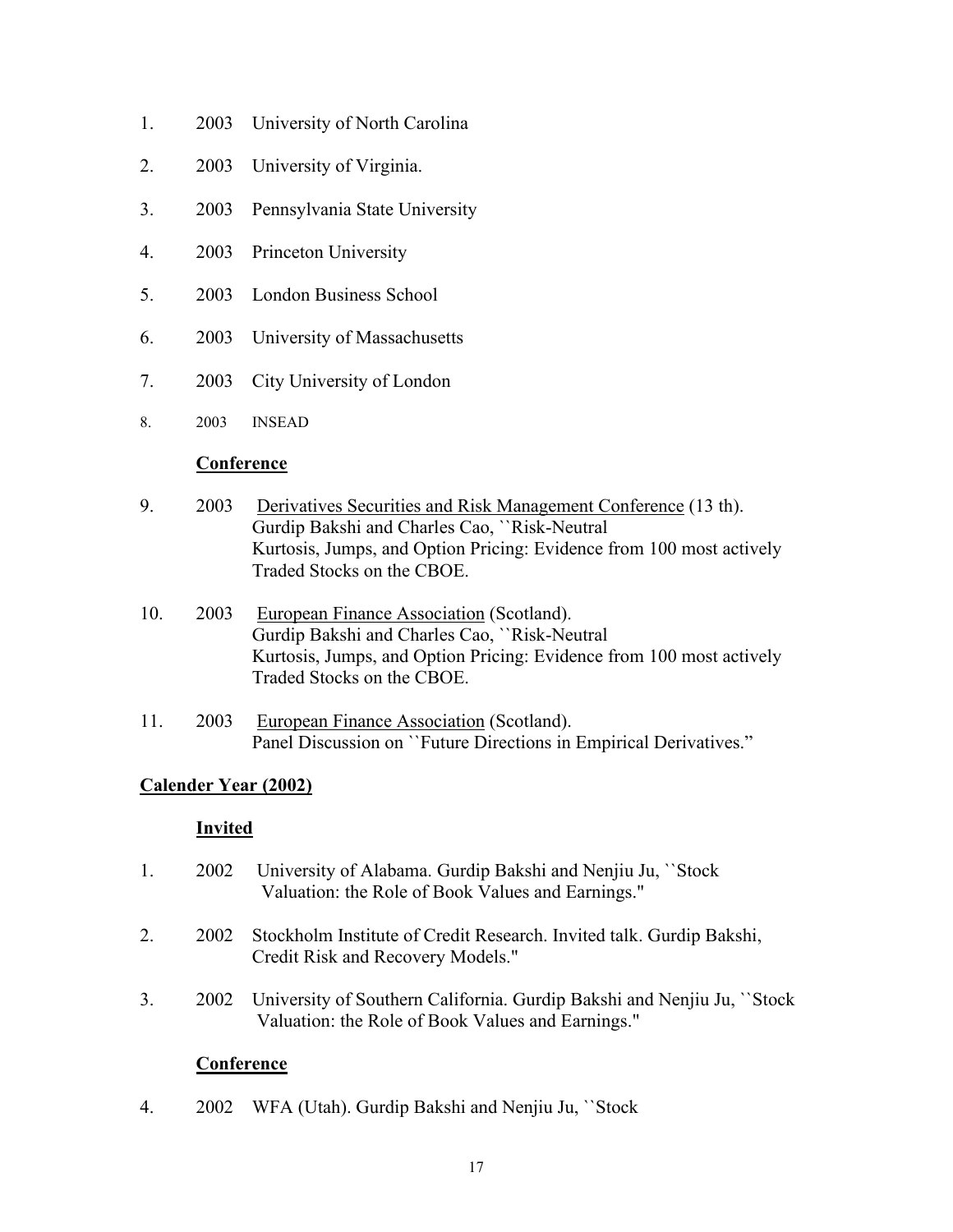- 1. 2003 University of North Carolina
- 2. 2003 University of Virginia.
- 3. 2003 Pennsylvania State University
- 4. 2003 Princeton University
- 5. 2003 London Business School
- 6. 2003 University of Massachusetts
- 7. 2003 City University of London
- 8. 2003 INSEAD

- 9. 2003 Derivatives Securities and Risk Management Conference (13 th). Gurdip Bakshi and Charles Cao, ``Risk-Neutral Kurtosis, Jumps, and Option Pricing: Evidence from 100 most actively Traded Stocks on the CBOE.
- 10. 2003 European Finance Association (Scotland). Gurdip Bakshi and Charles Cao, ``Risk-Neutral Kurtosis, Jumps, and Option Pricing: Evidence from 100 most actively Traded Stocks on the CBOE.
- 11. 2003 European Finance Association (Scotland). Panel Discussion on ``Future Directions in Empirical Derivatives."

# **Calender Year (2002)**

#### **Invited**

- 1. 2002 University of Alabama. Gurdip Bakshi and Nenjiu Ju, ``Stock Valuation: the Role of Book Values and Earnings."
- 2. 2002 Stockholm Institute of Credit Research. Invited talk. Gurdip Bakshi, Credit Risk and Recovery Models."
- 3. 2002 University of Southern California. Gurdip Bakshi and Nenjiu Ju, ``Stock Valuation: the Role of Book Values and Earnings."

# **Conference**

4. 2002 WFA (Utah). Gurdip Bakshi and Nenjiu Ju, ``Stock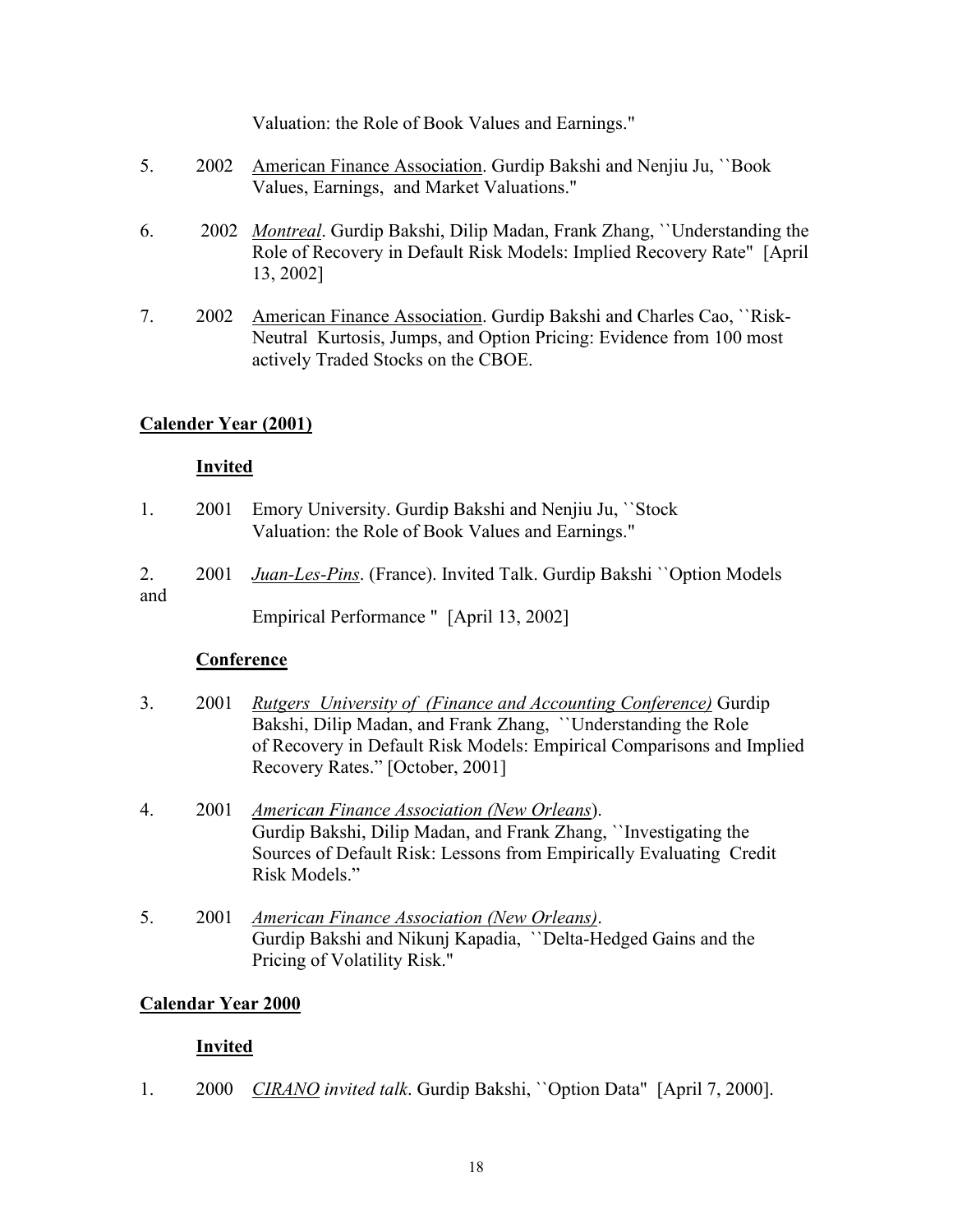Valuation: the Role of Book Values and Earnings."

- 5. 2002 American Finance Association. Gurdip Bakshi and Nenjiu Ju, ``Book Values, Earnings, and Market Valuations."
- 6. 2002 *Montreal*. Gurdip Bakshi, Dilip Madan, Frank Zhang, ``Understanding the Role of Recovery in Default Risk Models: Implied Recovery Rate" [April 13, 2002]
- 7. 2002 American Finance Association. Gurdip Bakshi and Charles Cao, ``Risk-Neutral Kurtosis, Jumps, and Option Pricing: Evidence from 100 most actively Traded Stocks on the CBOE.

# **Calender Year (2001)**

### **Invited**

- 1. 2001 Emory University. Gurdip Bakshi and Nenjiu Ju, ``Stock Valuation: the Role of Book Values and Earnings."
- 2. 2001 *Juan-Les-Pins*. (France). Invited Talk. Gurdip Bakshi ``Option Models and

Empirical Performance " [April 13, 2002]

# **Conference**

- 3. 2001 *Rutgers University of (Finance and Accounting Conference)* Gurdip Bakshi, Dilip Madan, and Frank Zhang, ``Understanding the Role of Recovery in Default Risk Models: Empirical Comparisons and Implied Recovery Rates." [October, 2001]
- 4. 2001 *American Finance Association (New Orleans*). Gurdip Bakshi, Dilip Madan, and Frank Zhang, ``Investigating the Sources of Default Risk: Lessons from Empirically Evaluating Credit Risk Models."
- 5. 2001 *American Finance Association (New Orleans)*. Gurdip Bakshi and Nikunj Kapadia, ``Delta-Hedged Gains and the Pricing of Volatility Risk."

# **Calendar Year 2000**

# **Invited**

1. 2000 *CIRANO invited talk*. Gurdip Bakshi, ``Option Data" [April 7, 2000].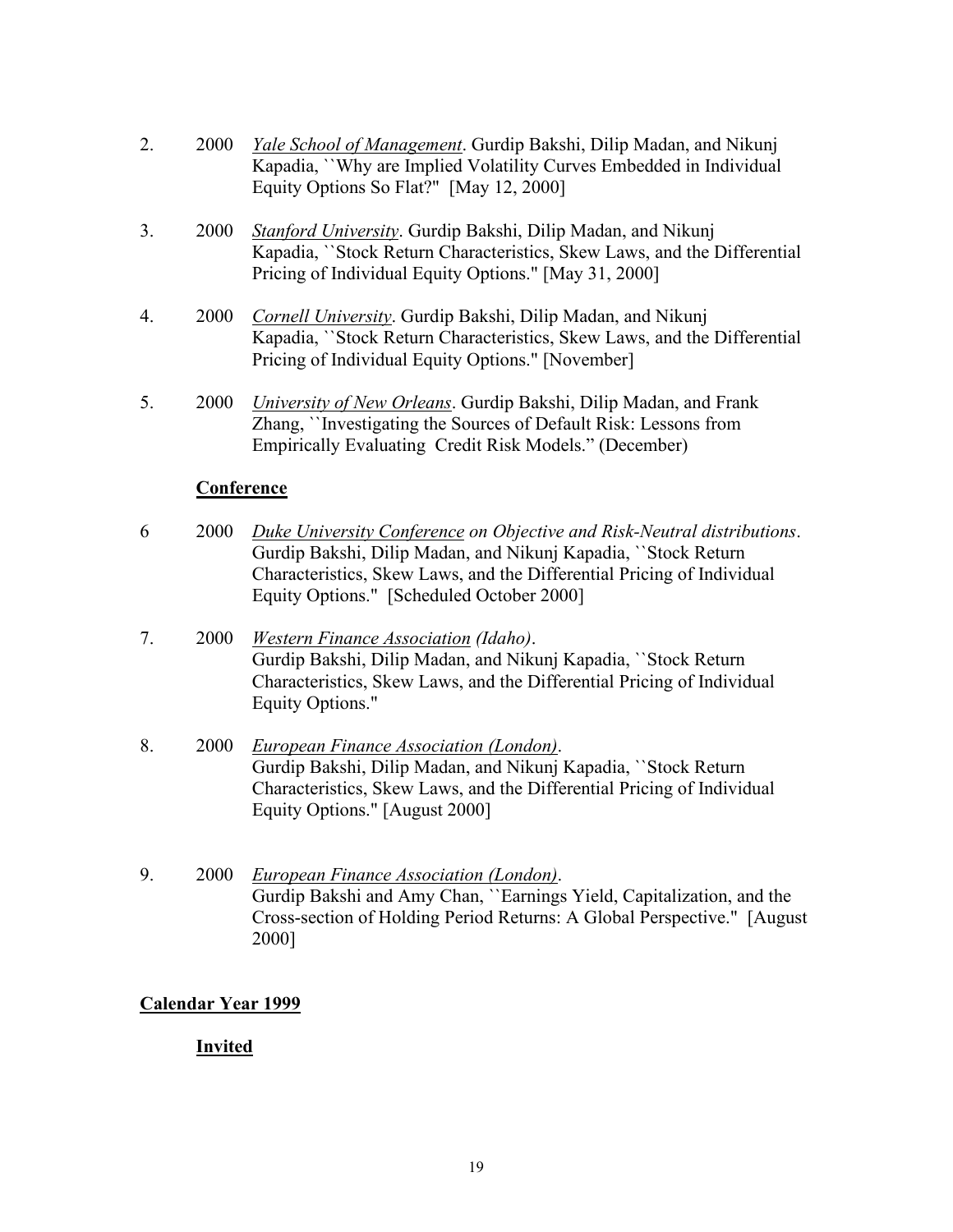- 2. 2000 *Yale School of Management*. Gurdip Bakshi, Dilip Madan, and Nikunj Kapadia, ``Why are Implied Volatility Curves Embedded in Individual Equity Options So Flat?" [May 12, 2000]
- 3. 2000 *Stanford University*. Gurdip Bakshi, Dilip Madan, and Nikunj Kapadia, ``Stock Return Characteristics, Skew Laws, and the Differential Pricing of Individual Equity Options." [May 31, 2000]
- 4. 2000 *Cornell University*. Gurdip Bakshi, Dilip Madan, and Nikunj Kapadia, ``Stock Return Characteristics, Skew Laws, and the Differential Pricing of Individual Equity Options." [November]
- 5. 2000 *University of New Orleans*. Gurdip Bakshi, Dilip Madan, and Frank Zhang, ``Investigating the Sources of Default Risk: Lessons from Empirically Evaluating Credit Risk Models." (December)

- 6 2000 *Duke University Conference on Objective and Risk-Neutral distributions*. Gurdip Bakshi, Dilip Madan, and Nikunj Kapadia, ``Stock Return Characteristics, Skew Laws, and the Differential Pricing of Individual Equity Options." [Scheduled October 2000]
- 7. 2000 *Western Finance Association (Idaho)*. Gurdip Bakshi, Dilip Madan, and Nikunj Kapadia, ``Stock Return Characteristics, Skew Laws, and the Differential Pricing of Individual Equity Options."
- 8. 2000 *European Finance Association (London)*. Gurdip Bakshi, Dilip Madan, and Nikunj Kapadia, ``Stock Return Characteristics, Skew Laws, and the Differential Pricing of Individual Equity Options." [August 2000]
- 9. 2000 *European Finance Association (London)*. Gurdip Bakshi and Amy Chan, ``Earnings Yield, Capitalization, and the Cross-section of Holding Period Returns: A Global Perspective." [August 2000]

# **Calendar Year 1999**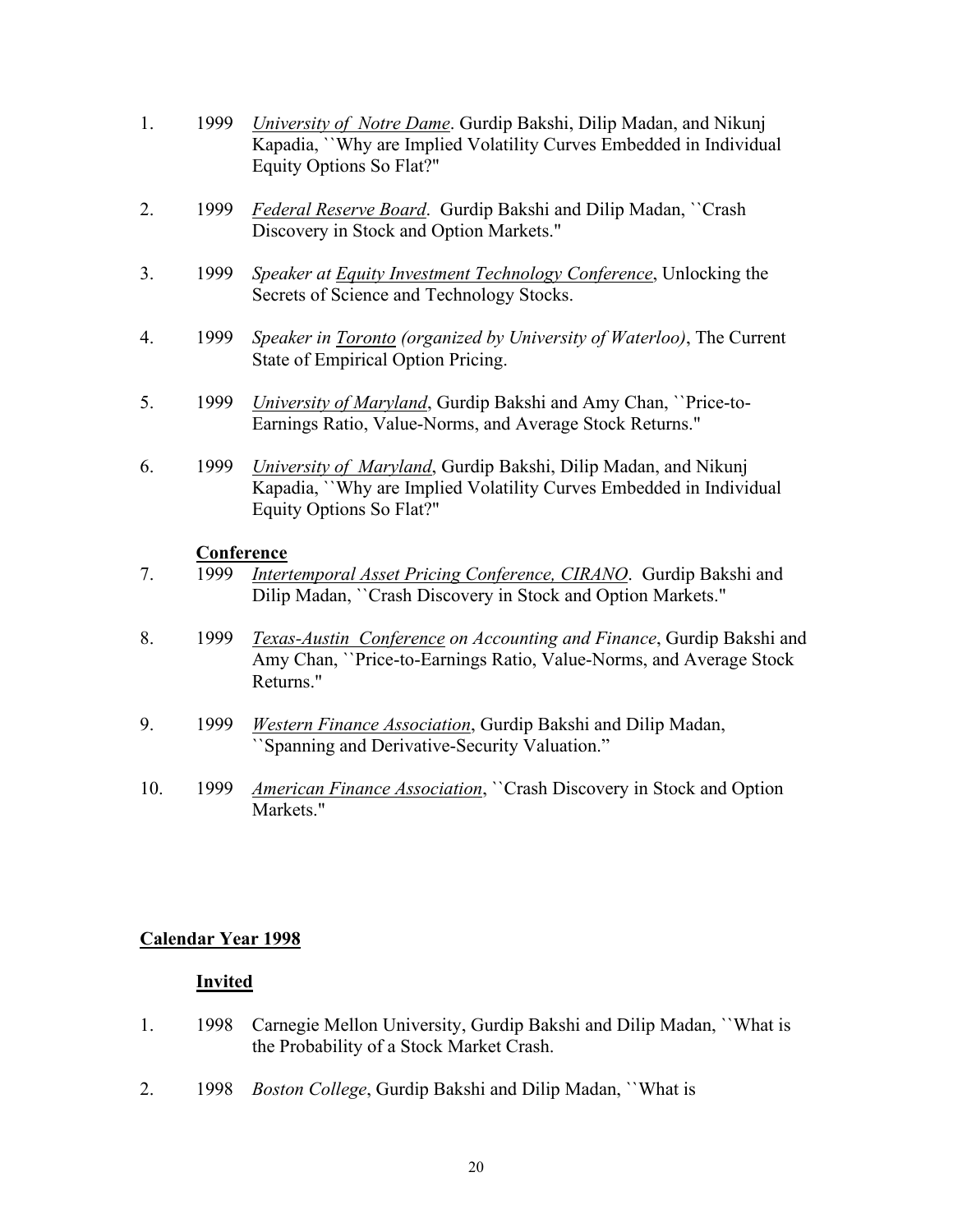- 1. 1999 *University of Notre Dame*. Gurdip Bakshi, Dilip Madan, and Nikunj Kapadia, ``Why are Implied Volatility Curves Embedded in Individual Equity Options So Flat?"
- 2. 1999 *Federal Reserve Board*. Gurdip Bakshi and Dilip Madan, ``Crash Discovery in Stock and Option Markets."
- 3. 1999 *Speaker at Equity Investment Technology Conference*, Unlocking the Secrets of Science and Technology Stocks.
- 4. 1999 *Speaker in Toronto (organized by University of Waterloo)*, The Current State of Empirical Option Pricing.
- 5. 1999 *University of Maryland*, Gurdip Bakshi and Amy Chan, ``Price-to-Earnings Ratio, Value-Norms, and Average Stock Returns."
- 6. 1999 *University of Maryland*, Gurdip Bakshi, Dilip Madan, and Nikunj Kapadia, ``Why are Implied Volatility Curves Embedded in Individual Equity Options So Flat?"

- 7. 1999 *Intertemporal Asset Pricing Conference, CIRANO*. Gurdip Bakshi and Dilip Madan, ``Crash Discovery in Stock and Option Markets."
- 8. 1999 *Texas-Austin Conference on Accounting and Finance*, Gurdip Bakshi and Amy Chan, ``Price-to-Earnings Ratio, Value-Norms, and Average Stock Returns."
- 9. 1999 *Western Finance Association*, Gurdip Bakshi and Dilip Madan, ``Spanning and Derivative-Security Valuation."
- 10. 1999 *American Finance Association*, ``Crash Discovery in Stock and Option Markets."

#### **Calendar Year 1998**

- 1. 1998 Carnegie Mellon University, Gurdip Bakshi and Dilip Madan, ``What is the Probability of a Stock Market Crash.
- 2. 1998 *Boston College*, Gurdip Bakshi and Dilip Madan, ``What is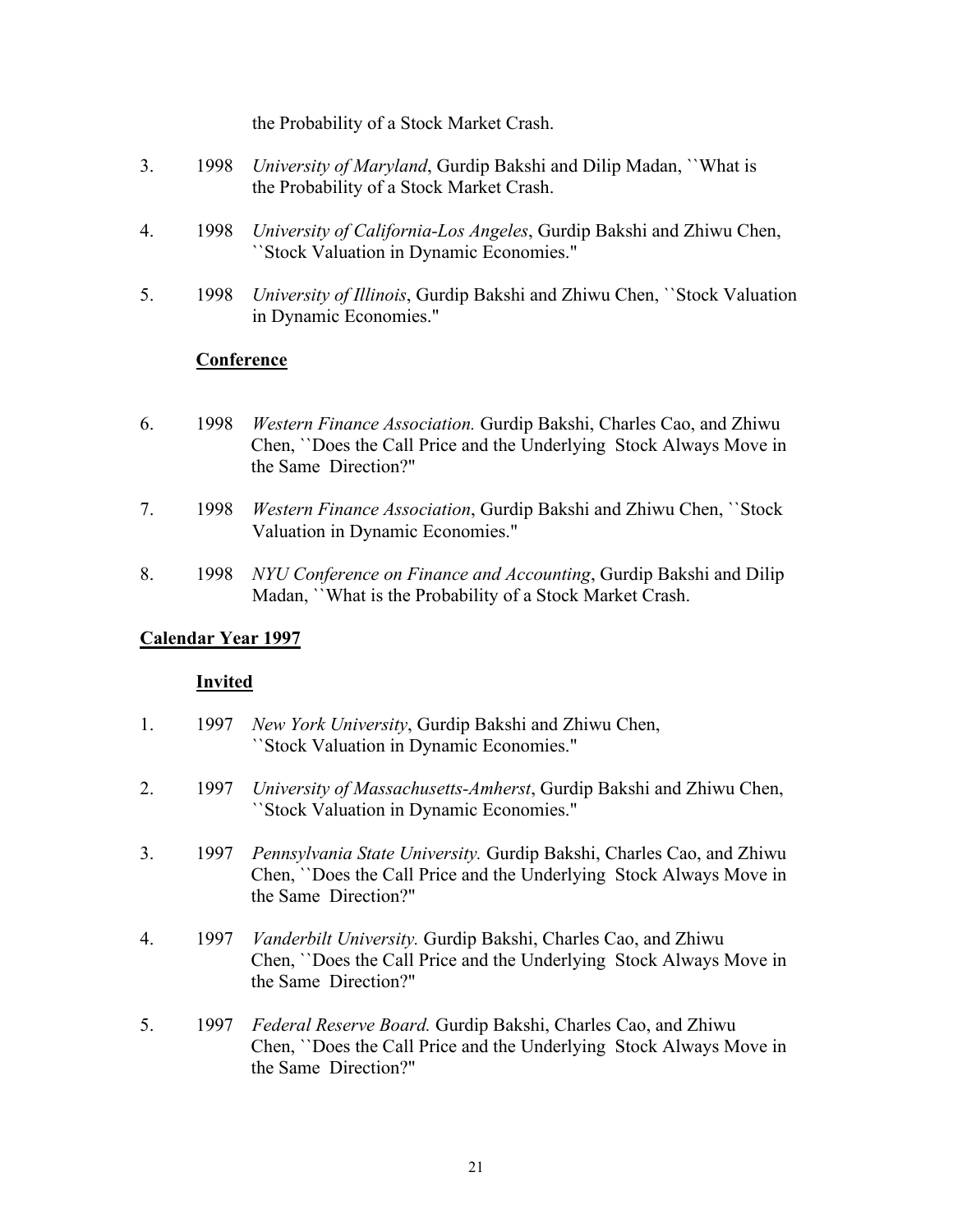the Probability of a Stock Market Crash.

- 3. 1998 *University of Maryland*, Gurdip Bakshi and Dilip Madan, ``What is the Probability of a Stock Market Crash.
- 4. 1998 *University of California-Los Angeles*, Gurdip Bakshi and Zhiwu Chen, ``Stock Valuation in Dynamic Economies."
- 5. 1998 *University of Illinois*, Gurdip Bakshi and Zhiwu Chen, ``Stock Valuation in Dynamic Economies."

#### **Conference**

- 6. 1998 *Western Finance Association.* Gurdip Bakshi, Charles Cao, and Zhiwu Chen, ``Does the Call Price and the Underlying Stock Always Move in the Same Direction?"
- 7. 1998 *Western Finance Association*, Gurdip Bakshi and Zhiwu Chen, ``Stock Valuation in Dynamic Economies."
- 8. 1998 *NYU Conference on Finance and Accounting*, Gurdip Bakshi and Dilip Madan, ``What is the Probability of a Stock Market Crash.

#### **Calendar Year 1997**

- 1. 1997 *New York University*, Gurdip Bakshi and Zhiwu Chen, ``Stock Valuation in Dynamic Economies."
- 2. 1997 *University of Massachusetts-Amherst*, Gurdip Bakshi and Zhiwu Chen, ``Stock Valuation in Dynamic Economies."
- 3. 1997 *Pennsylvania State University.* Gurdip Bakshi, Charles Cao, and Zhiwu Chen, ``Does the Call Price and the Underlying Stock Always Move in the Same Direction?"
- 4. 1997 *Vanderbilt University.* Gurdip Bakshi, Charles Cao, and Zhiwu Chen, ``Does the Call Price and the Underlying Stock Always Move in the Same Direction?"
- 5. 1997 *Federal Reserve Board.* Gurdip Bakshi, Charles Cao, and Zhiwu Chen, ``Does the Call Price and the Underlying Stock Always Move in the Same Direction?"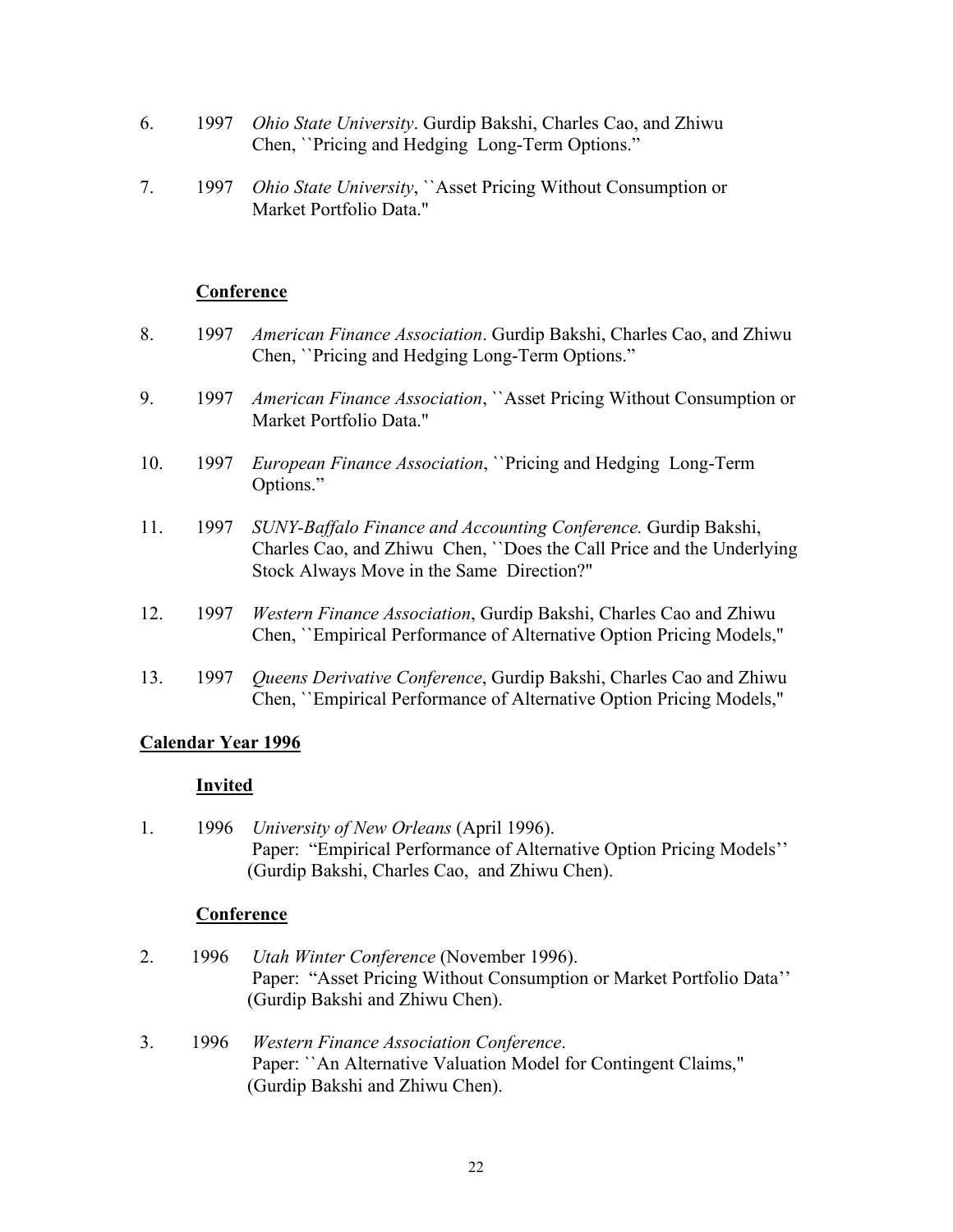- 6. 1997 *Ohio State University*. Gurdip Bakshi, Charles Cao, and Zhiwu Chen, ``Pricing and Hedging Long-Term Options."
- 7. 1997 *Ohio State University*, ``Asset Pricing Without Consumption or Market Portfolio Data."

- 8. 1997 *American Finance Association*. Gurdip Bakshi, Charles Cao, and Zhiwu Chen, ``Pricing and Hedging Long-Term Options."
- 9. 1997 *American Finance Association*, ``Asset Pricing Without Consumption or Market Portfolio Data."
- 10. 1997 *European Finance Association*, ``Pricing and Hedging Long-Term Options."
- 11. 1997 *SUNY-Baffalo Finance and Accounting Conference.* Gurdip Bakshi, Charles Cao, and Zhiwu Chen, ``Does the Call Price and the Underlying Stock Always Move in the Same Direction?"
- 12. 1997 *Western Finance Association*, Gurdip Bakshi, Charles Cao and Zhiwu Chen, ``Empirical Performance of Alternative Option Pricing Models,"
- 13. 1997 *Queens Derivative Conference*, Gurdip Bakshi, Charles Cao and Zhiwu Chen, ``Empirical Performance of Alternative Option Pricing Models,"

#### **Calendar Year 1996**

#### **Invited**

1. 1996 *University of New Orleans* (April 1996). Paper: "Empirical Performance of Alternative Option Pricing Models'' (Gurdip Bakshi, Charles Cao, and Zhiwu Chen).

#### **Conference**

- 2. 1996 *Utah Winter Conference* (November 1996). Paper: "Asset Pricing Without Consumption or Market Portfolio Data'' (Gurdip Bakshi and Zhiwu Chen).
- 3. 1996 *Western Finance Association Conference*. Paper: ``An Alternative Valuation Model for Contingent Claims," (Gurdip Bakshi and Zhiwu Chen).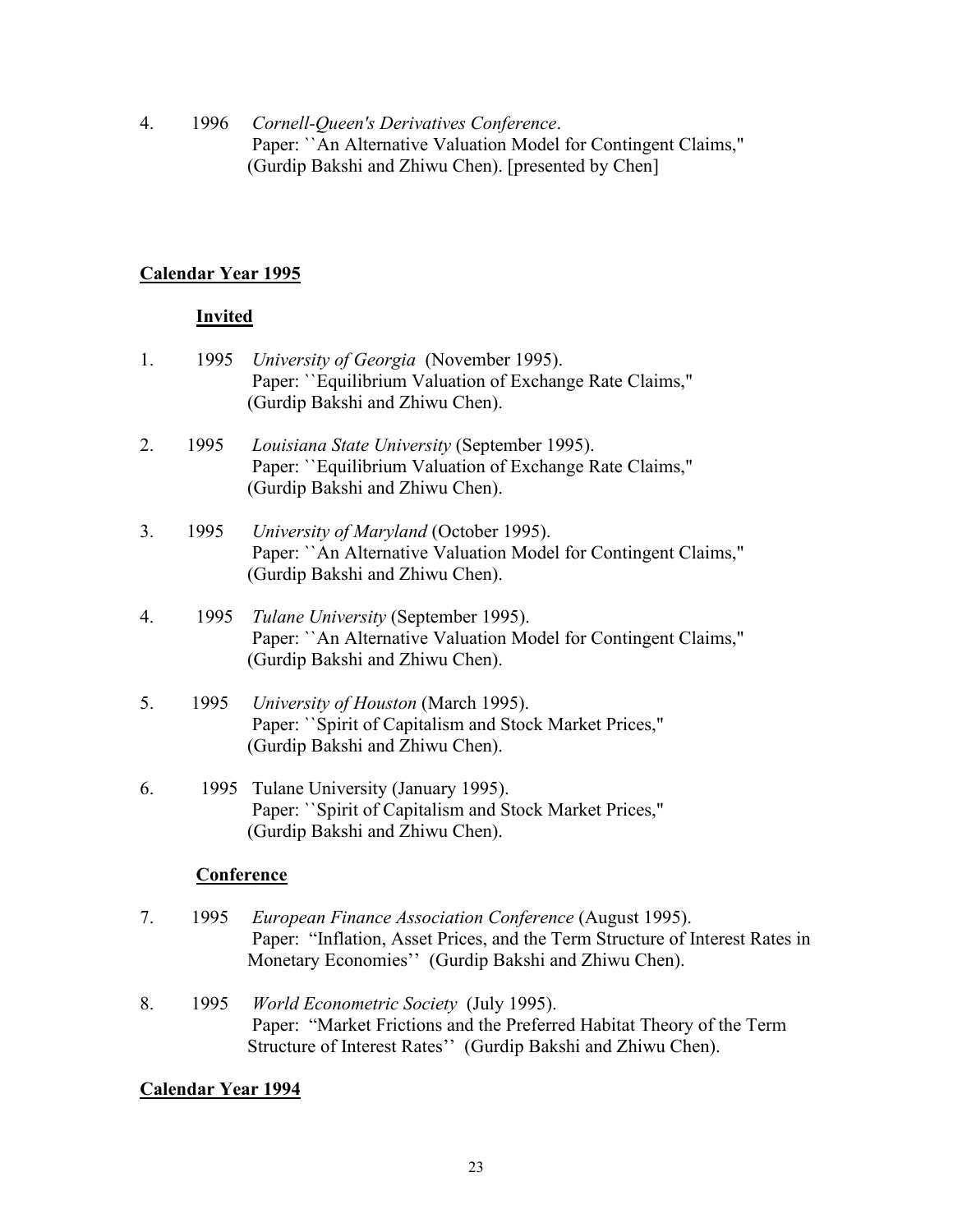4. 1996 *Cornell-Queen's Derivatives Conference*. Paper: ``An Alternative Valuation Model for Contingent Claims," (Gurdip Bakshi and Zhiwu Chen). [presented by Chen]

# **Calendar Year 1995**

# **Invited**

- 1. 1995 *University of Georgia* (November 1995). Paper: ``Equilibrium Valuation of Exchange Rate Claims," (Gurdip Bakshi and Zhiwu Chen). 2. 1995 *Louisiana State University* (September 1995). Paper: ``Equilibrium Valuation of Exchange Rate Claims," (Gurdip Bakshi and Zhiwu Chen).
- 3. 1995 *University of Maryland* (October 1995). Paper: ``An Alternative Valuation Model for Contingent Claims," (Gurdip Bakshi and Zhiwu Chen).
- 4. 1995 *Tulane University* (September 1995). Paper: ``An Alternative Valuation Model for Contingent Claims," (Gurdip Bakshi and Zhiwu Chen).
- 5. 1995 *University of Houston* (March 1995). Paper: ``Spirit of Capitalism and Stock Market Prices," (Gurdip Bakshi and Zhiwu Chen).
- 6. 1995 Tulane University (January 1995). Paper: ``Spirit of Capitalism and Stock Market Prices," (Gurdip Bakshi and Zhiwu Chen).

# **Conference**

- 7. 1995 *European Finance Association Conference* (August 1995). Paper: "Inflation, Asset Prices, and the Term Structure of Interest Rates in Monetary Economies'' (Gurdip Bakshi and Zhiwu Chen).
- 8. 1995 *World Econometric Society* (July 1995). Paper: "Market Frictions and the Preferred Habitat Theory of the Term Structure of Interest Rates'' (Gurdip Bakshi and Zhiwu Chen).

# **Calendar Year 1994**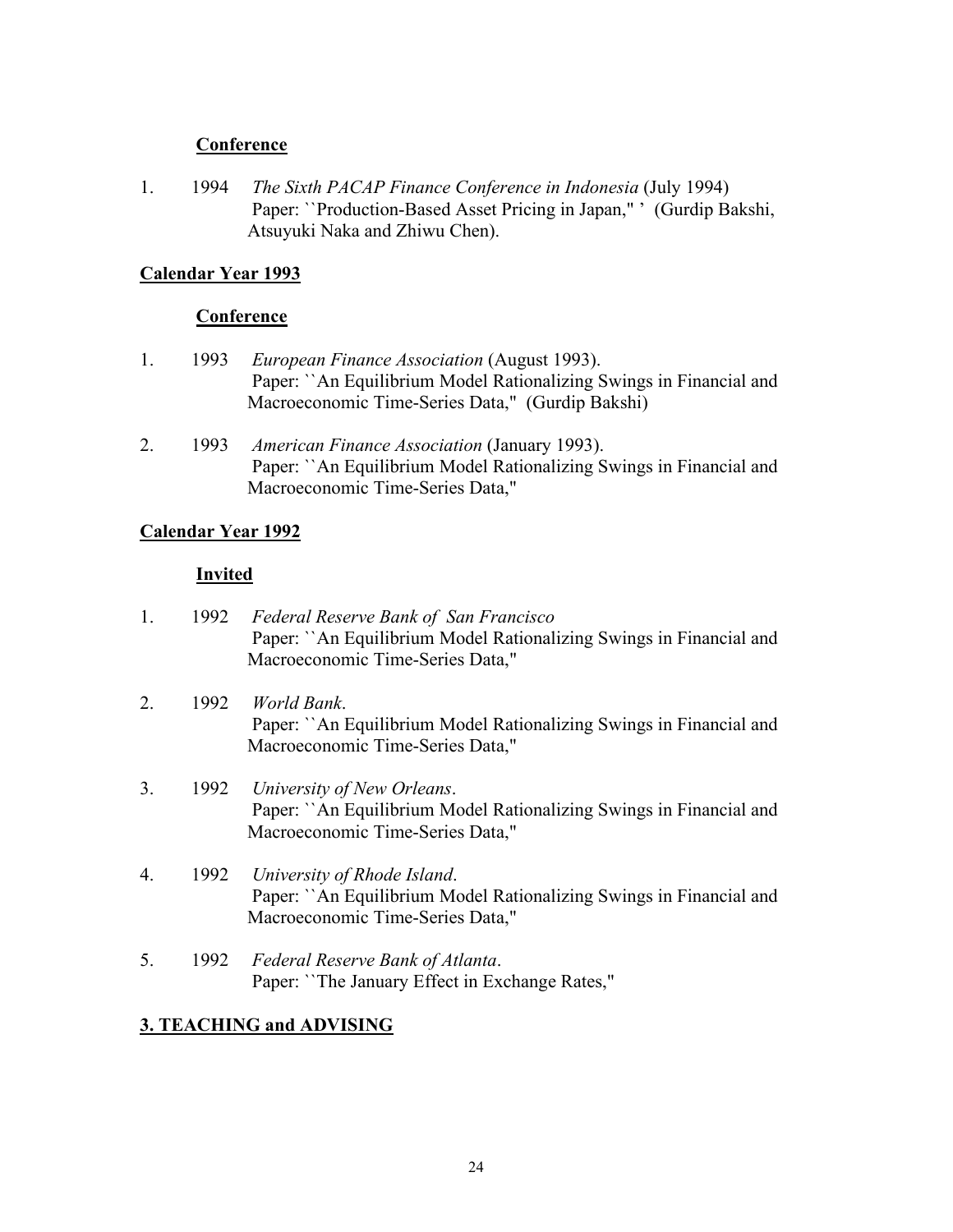1. 1994 *The Sixth PACAP Finance Conference in Indonesia* (July 1994) Paper: ``Production-Based Asset Pricing in Japan," ' (Gurdip Bakshi, Atsuyuki Naka and Zhiwu Chen).

### **Calendar Year 1993**

### **Conference**

- 1. 1993 *European Finance Association* (August 1993). Paper: ``An Equilibrium Model Rationalizing Swings in Financial and Macroeconomic Time-Series Data," (Gurdip Bakshi)
- 2. 1993 *American Finance Association* (January 1993). Paper: ``An Equilibrium Model Rationalizing Swings in Financial and Macroeconomic Time-Series Data,"

### **Calendar Year 1992**

### **Invited**

- 1. 1992 *Federal Reserve Bank of San Francisco* Paper: ``An Equilibrium Model Rationalizing Swings in Financial and Macroeconomic Time-Series Data,"
- 2. 1992 *World Bank*. Paper: ``An Equilibrium Model Rationalizing Swings in Financial and Macroeconomic Time-Series Data,"
- 3. 1992 *University of New Orleans*. Paper: ``An Equilibrium Model Rationalizing Swings in Financial and Macroeconomic Time-Series Data,"
- 4. 1992 *University of Rhode Island*. Paper: ``An Equilibrium Model Rationalizing Swings in Financial and Macroeconomic Time-Series Data,"
- 5. 1992 *Federal Reserve Bank of Atlanta*. Paper: ``The January Effect in Exchange Rates,"

# **3. TEACHING and ADVISING**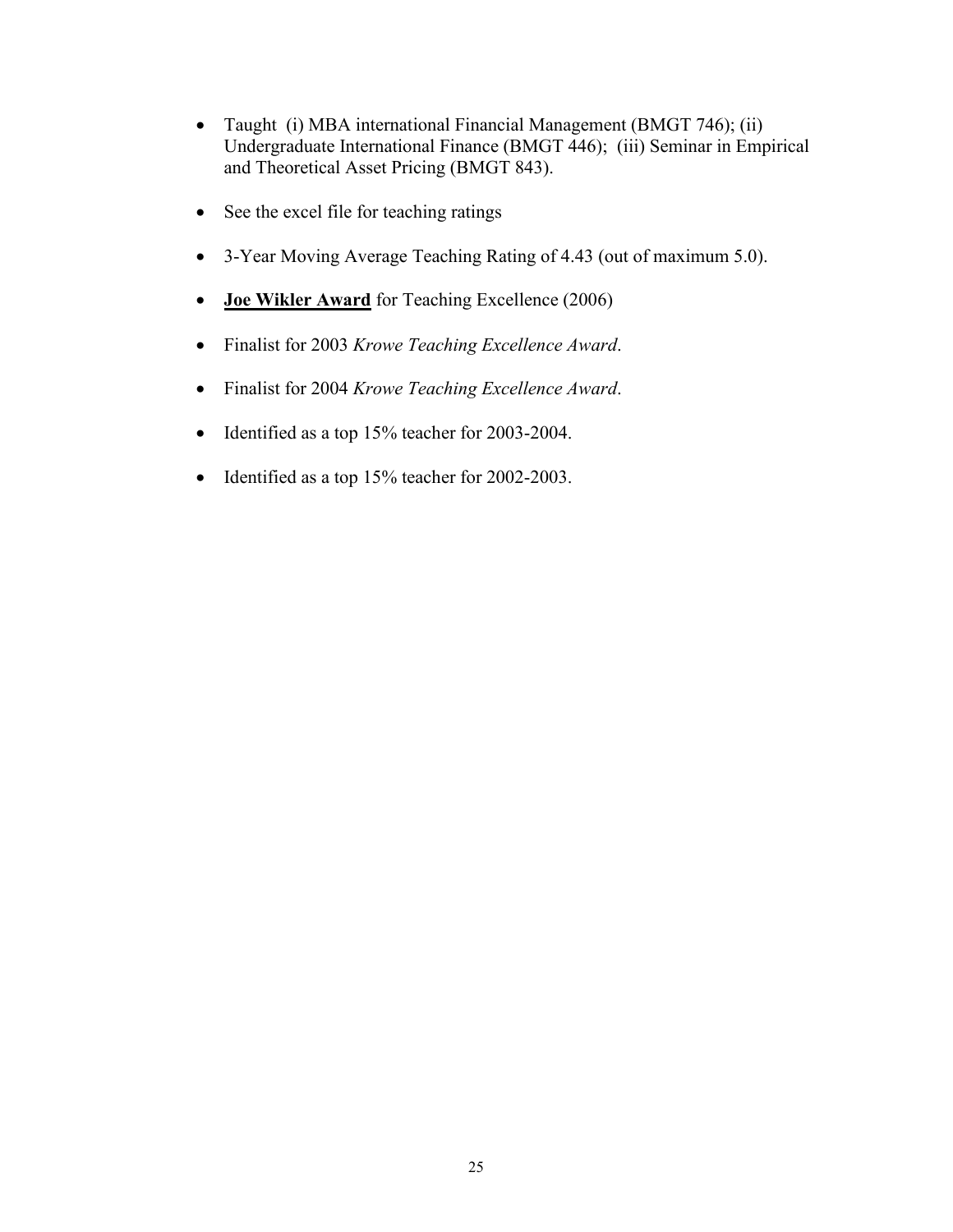- Taught (i) MBA international Financial Management (BMGT 746); (ii) Undergraduate International Finance (BMGT 446); (iii) Seminar in Empirical and Theoretical Asset Pricing (BMGT 843).
- See the excel file for teaching ratings
- 3-Year Moving Average Teaching Rating of 4.43 (out of maximum 5.0).
- **Joe Wikler Award** for Teaching Excellence (2006)
- Finalist for 2003 *Krowe Teaching Excellence Award*.
- Finalist for 2004 *Krowe Teaching Excellence Award*.
- Identified as a top 15% teacher for 2003-2004.
- Identified as a top 15% teacher for 2002-2003.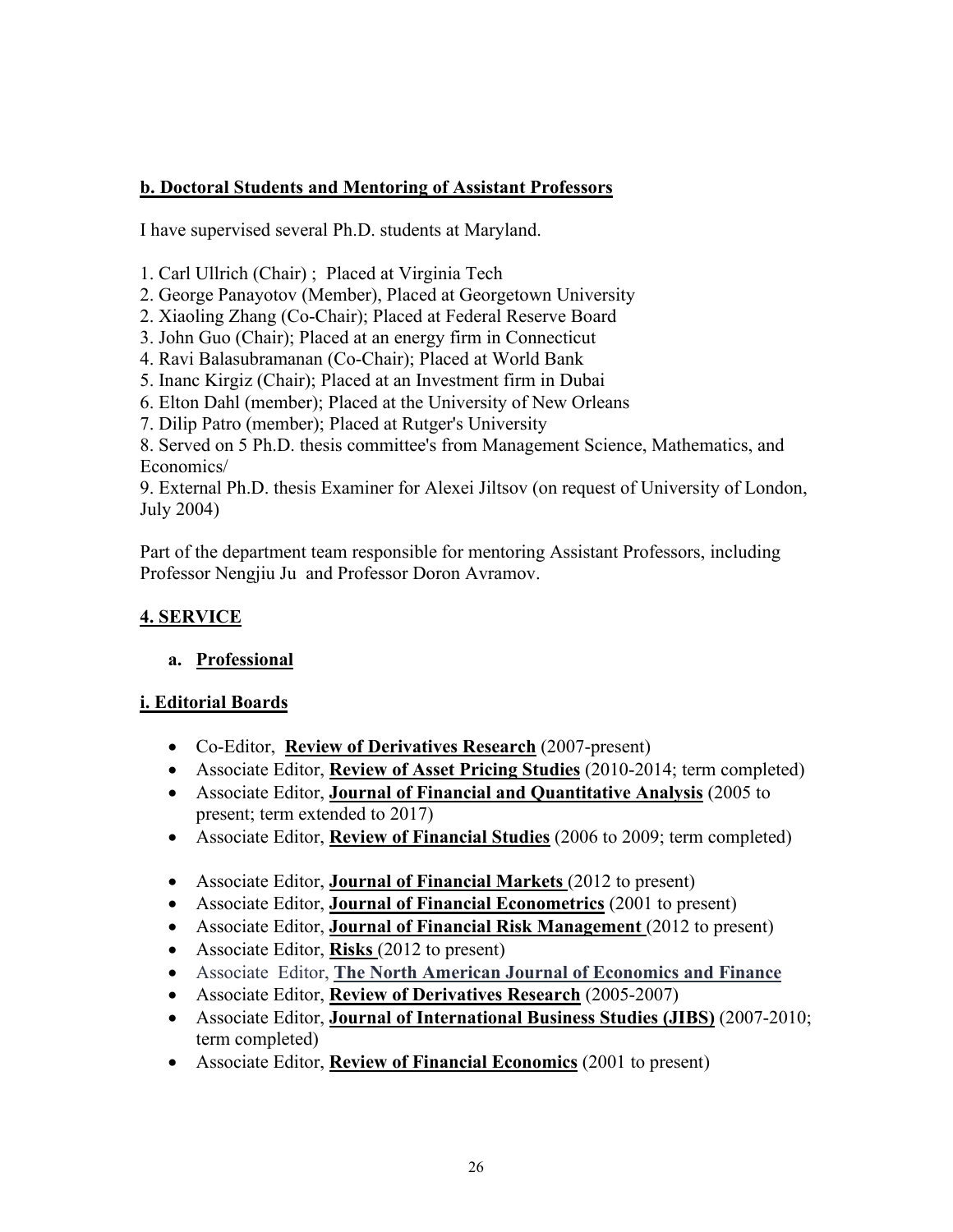# **b. Doctoral Students and Mentoring of Assistant Professors**

I have supervised several Ph.D. students at Maryland.

1. Carl Ullrich (Chair) ; Placed at Virginia Tech

- 2. George Panayotov (Member), Placed at Georgetown University
- 2. Xiaoling Zhang (Co-Chair); Placed at Federal Reserve Board
- 3. John Guo (Chair); Placed at an energy firm in Connecticut
- 4. Ravi Balasubramanan (Co-Chair); Placed at World Bank
- 5. Inanc Kirgiz (Chair); Placed at an Investment firm in Dubai
- 6. Elton Dahl (member); Placed at the University of New Orleans
- 7. Dilip Patro (member); Placed at Rutger's University

8. Served on 5 Ph.D. thesis committee's from Management Science, Mathematics, and Economics/

9. External Ph.D. thesis Examiner for Alexei Jiltsov (on request of University of London, July 2004)

Part of the department team responsible for mentoring Assistant Professors, including Professor Nengjiu Ju and Professor Doron Avramov.

# **4. SERVICE**

# **a. Professional**

# **i. Editorial Boards**

- Co-Editor, **Review of Derivatives Research** (2007-present)
- Associate Editor, **Review of Asset Pricing Studies** (2010-2014; term completed)
- Associate Editor, **Journal of Financial and Quantitative Analysis** (2005 to present; term extended to 2017)
- Associate Editor, **Review of Financial Studies** (2006 to 2009; term completed)
- Associate Editor, **Journal of Financial Markets** (2012 to present)
- Associate Editor, **Journal of Financial Econometrics** (2001 to present)
- Associate Editor, **Journal of Financial Risk Management** (2012 to present)
- Associate Editor, **Risks** (2012 to present)
- Associate Editor, **The North American Journal of Economics and Finance**
- Associate Editor, **Review of Derivatives Research** (2005-2007)
- Associate Editor, **Journal of International Business Studies (JIBS)** (2007-2010; term completed)
- Associate Editor, **Review of Financial Economics** (2001 to present)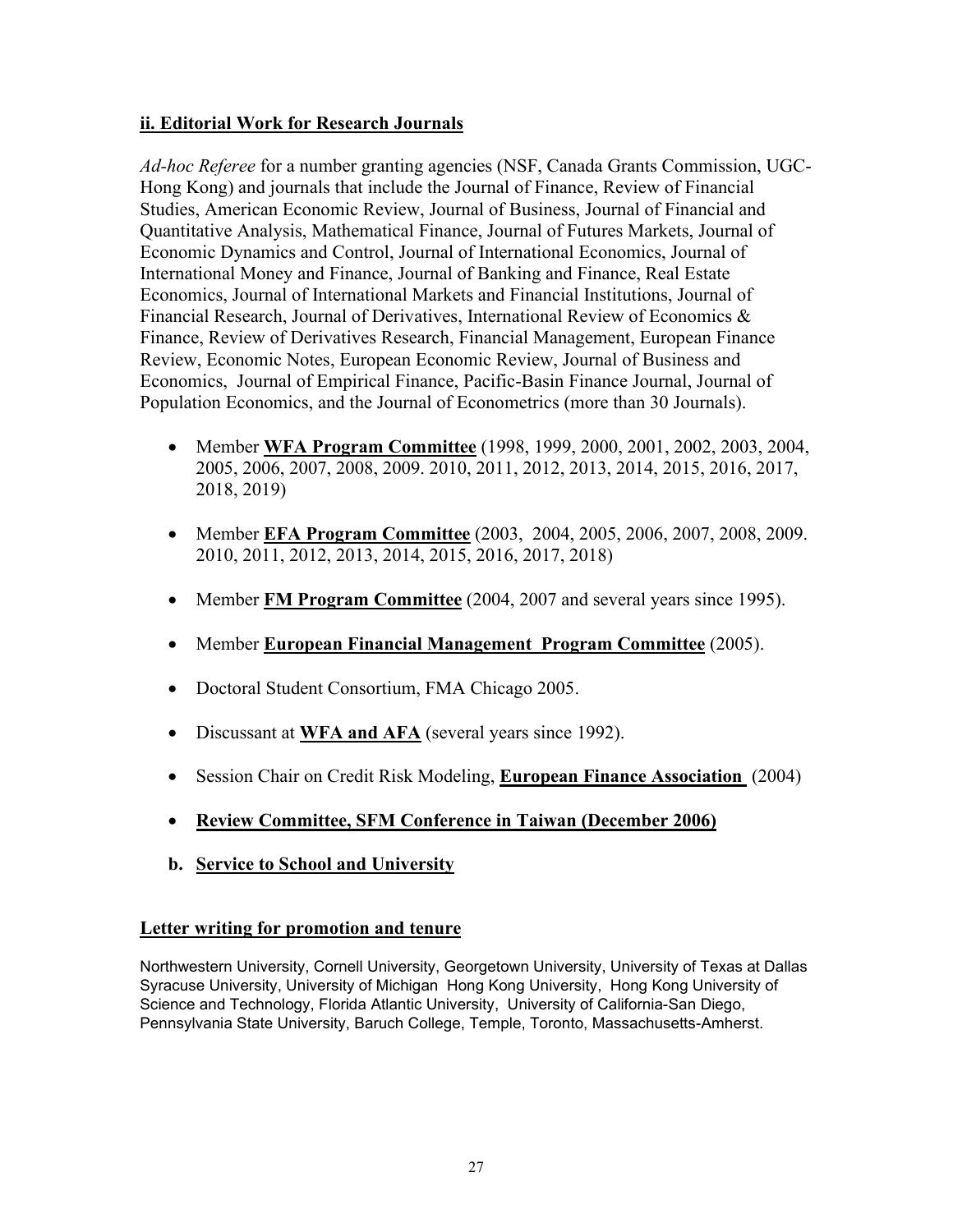# **ii. Editorial Work for Research Journals**

*Ad-hoc Referee* for a number granting agencies (NSF, Canada Grants Commission, UGC-Hong Kong) and journals that include the Journal of Finance, Review of Financial Studies, American Economic Review, Journal of Business, Journal of Financial and Quantitative Analysis, Mathematical Finance, Journal of Futures Markets, Journal of Economic Dynamics and Control, Journal of International Economics, Journal of International Money and Finance, Journal of Banking and Finance, Real Estate Economics, Journal of International Markets and Financial Institutions, Journal of Financial Research, Journal of Derivatives, International Review of Economics & Finance, Review of Derivatives Research, Financial Management, European Finance Review, Economic Notes, European Economic Review, Journal of Business and Economics, Journal of Empirical Finance, Pacific-Basin Finance Journal, Journal of Population Economics, and the Journal of Econometrics (more than 30 Journals).

- Member **WFA Program Committee** (1998, 1999, 2000, 2001, 2002, 2003, 2004, 2005, 2006, 2007, 2008, 2009. 2010, 2011, 2012, 2013, 2014, 2015, 2016, 2017, 2018, 2019)
- Member **EFA Program Committee** (2003, 2004, 2005, 2006, 2007, 2008, 2009. 2010, 2011, 2012, 2013, 2014, 2015, 2016, 2017, 2018)
- Member **FM Program Committee** (2004, 2007 and several years since 1995).
- Member **European Financial Management Program Committee** (2005).
- Doctoral Student Consortium, FMA Chicago 2005.
- Discussant at **WFA and AFA** (several years since 1992).
- Session Chair on Credit Risk Modeling, **European Finance Association** (2004)
- **Review Committee, SFM Conference in Taiwan (December 2006)**
- **b. Service to School and University**

# **Letter writing for promotion and tenure**

Northwestern University, Cornell University, Georgetown University, University of Texas at Dallas Syracuse University, University of Michigan Hong Kong University, Hong Kong University of Science and Technology, Florida Atlantic University, University of California-San Diego, Pennsylvania State University, Baruch College, Temple, Toronto, Massachusetts-Amherst.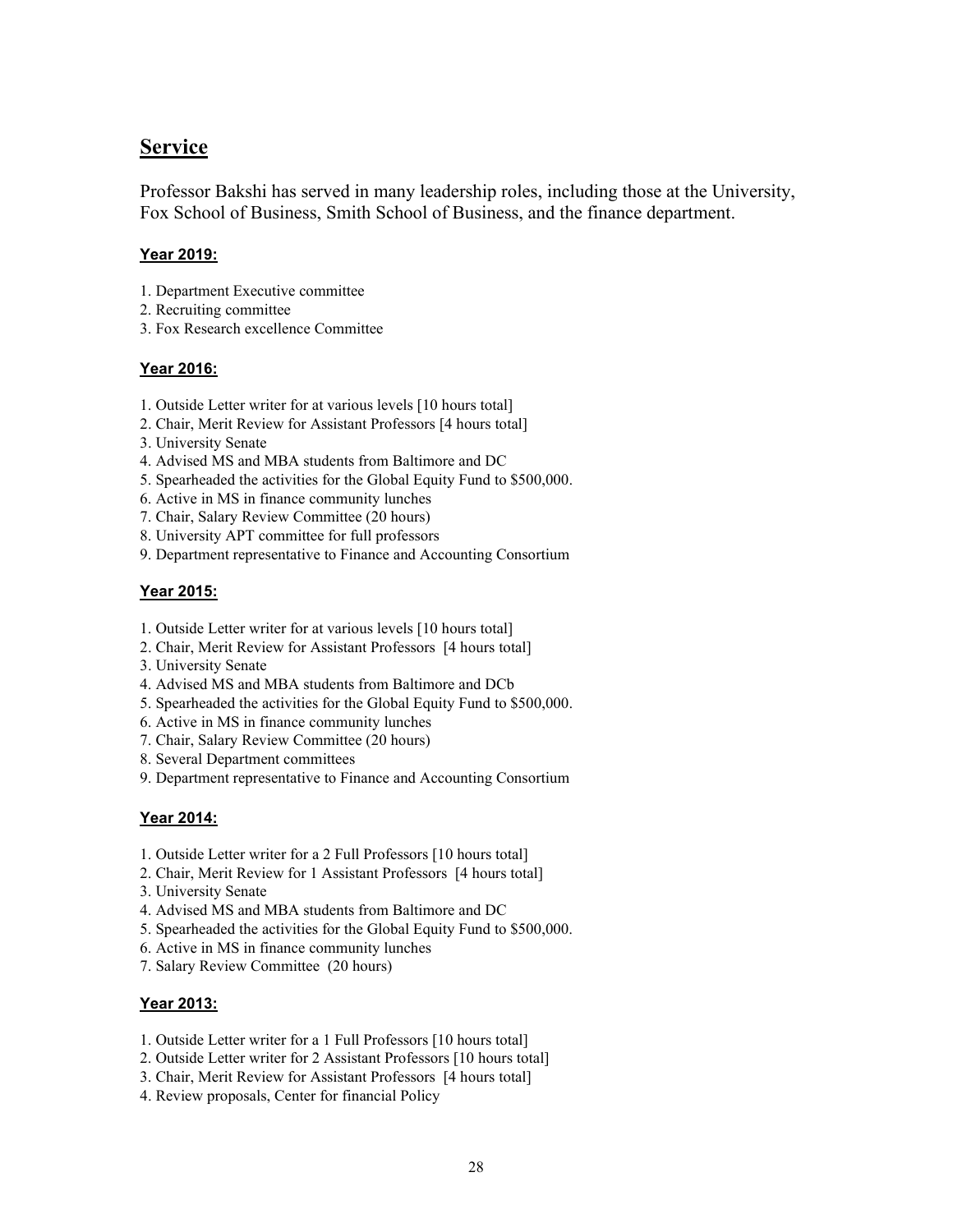# **Service**

Professor Bakshi has served in many leadership roles, including those at the University, Fox School of Business, Smith School of Business, and the finance department.

#### **Year 2019:**

- 1. Department Executive committee
- 2. Recruiting committee
- 3. Fox Research excellence Committee

#### **Year 2016:**

- 1. Outside Letter writer for at various levels [10 hours total]
- 2. Chair, Merit Review for Assistant Professors [4 hours total]
- 3. University Senate
- 4. Advised MS and MBA students from Baltimore and DC
- 5. Spearheaded the activities for the Global Equity Fund to \$500,000.
- 6. Active in MS in finance community lunches
- 7. Chair, Salary Review Committee (20 hours)
- 8. University APT committee for full professors
- 9. Department representative to Finance and Accounting Consortium

#### **Year 2015:**

- 1. Outside Letter writer for at various levels [10 hours total]
- 2. Chair, Merit Review for Assistant Professors [4 hours total]
- 3. University Senate
- 4. Advised MS and MBA students from Baltimore and DCb
- 5. Spearheaded the activities for the Global Equity Fund to \$500,000.
- 6. Active in MS in finance community lunches
- 7. Chair, Salary Review Committee (20 hours)
- 8. Several Department committees
- 9. Department representative to Finance and Accounting Consortium

#### **Year 2014:**

- 1. Outside Letter writer for a 2 Full Professors [10 hours total]
- 2. Chair, Merit Review for 1 Assistant Professors [4 hours total]
- 3. University Senate
- 4. Advised MS and MBA students from Baltimore and DC
- 5. Spearheaded the activities for the Global Equity Fund to \$500,000.
- 6. Active in MS in finance community lunches
- 7. Salary Review Committee (20 hours)

#### **Year 2013:**

- 1. Outside Letter writer for a 1 Full Professors [10 hours total]
- 2. Outside Letter writer for 2 Assistant Professors [10 hours total]
- 3. Chair, Merit Review for Assistant Professors [4 hours total]
- 4. Review proposals, Center for financial Policy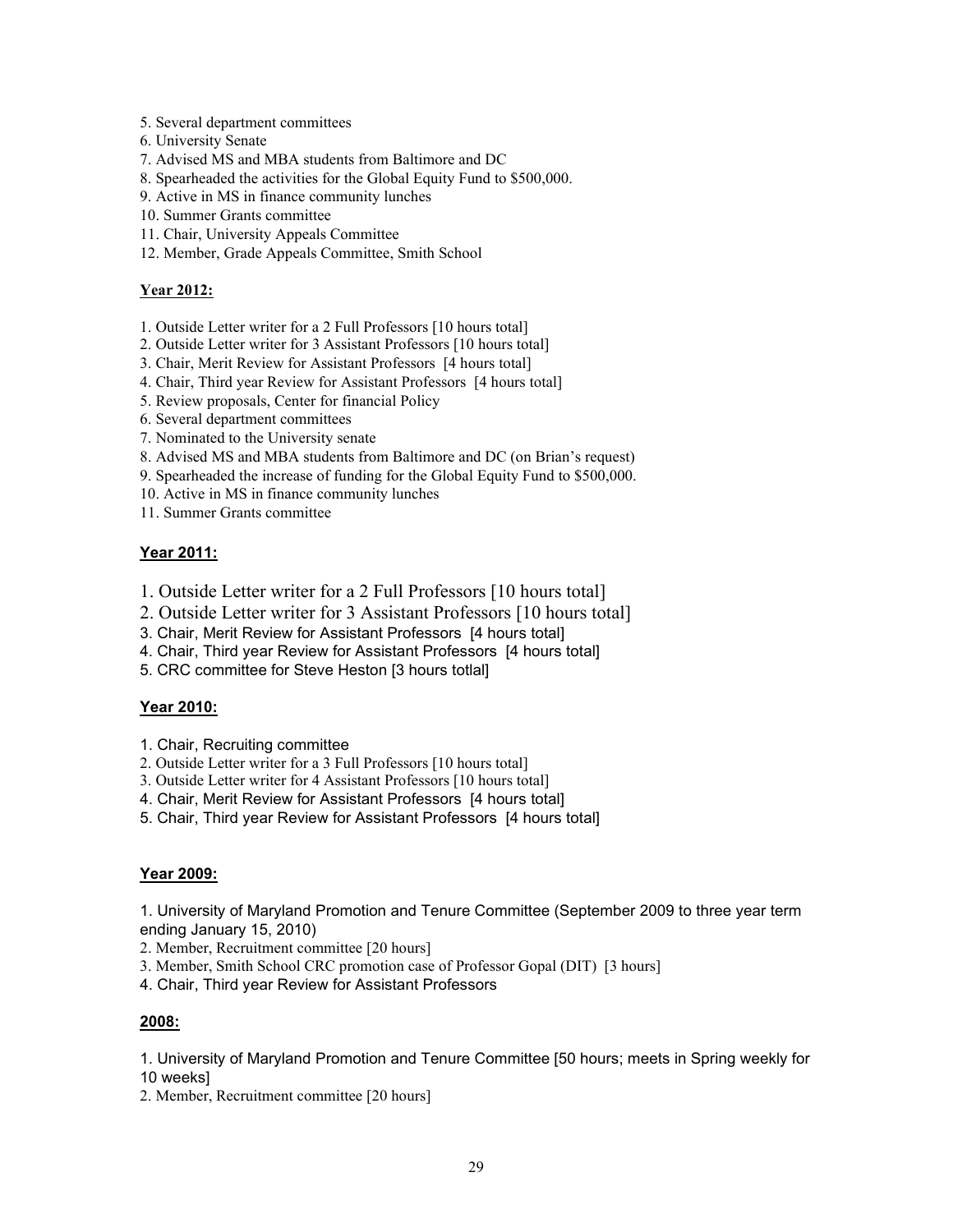- 5. Several department committees
- 6. University Senate
- 7. Advised MS and MBA students from Baltimore and DC
- 8. Spearheaded the activities for the Global Equity Fund to \$500,000.
- 9. Active in MS in finance community lunches
- 10. Summer Grants committee
- 11. Chair, University Appeals Committee
- 12. Member, Grade Appeals Committee, Smith School

#### **Year 2012:**

- 1. Outside Letter writer for a 2 Full Professors [10 hours total]
- 2. Outside Letter writer for 3 Assistant Professors [10 hours total]
- 3. Chair, Merit Review for Assistant Professors [4 hours total]
- 4. Chair, Third year Review for Assistant Professors [4 hours total]
- 5. Review proposals, Center for financial Policy
- 6. Several department committees
- 7. Nominated to the University senate
- 8. Advised MS and MBA students from Baltimore and DC (on Brian's request)
- 9. Spearheaded the increase of funding for the Global Equity Fund to \$500,000.
- 10. Active in MS in finance community lunches
- 11. Summer Grants committee

#### **Year 2011:**

- 1. Outside Letter writer for a 2 Full Professors [10 hours total]
- 2. Outside Letter writer for 3 Assistant Professors [10 hours total]
- 3. Chair, Merit Review for Assistant Professors [4 hours total]
- 4. Chair, Third year Review for Assistant Professors [4 hours total]
- 5. CRC committee for Steve Heston [3 hours totlal]

#### **Year 2010:**

- 1. Chair, Recruiting committee
- 2. Outside Letter writer for a 3 Full Professors [10 hours total]
- 3. Outside Letter writer for 4 Assistant Professors [10 hours total]
- 4. Chair, Merit Review for Assistant Professors [4 hours total]
- 5. Chair, Third year Review for Assistant Professors [4 hours total]

#### **Year 2009:**

1. University of Maryland Promotion and Tenure Committee (September 2009 to three year term ending January 15, 2010)

- 2. Member, Recruitment committee [20 hours]
- 3. Member, Smith School CRC promotion case of Professor Gopal (DIT) [3 hours]
- 4. Chair, Third year Review for Assistant Professors

#### **2008:**

1. University of Maryland Promotion and Tenure Committee [50 hours; meets in Spring weekly for 10 weeks]

2. Member, Recruitment committee [20 hours]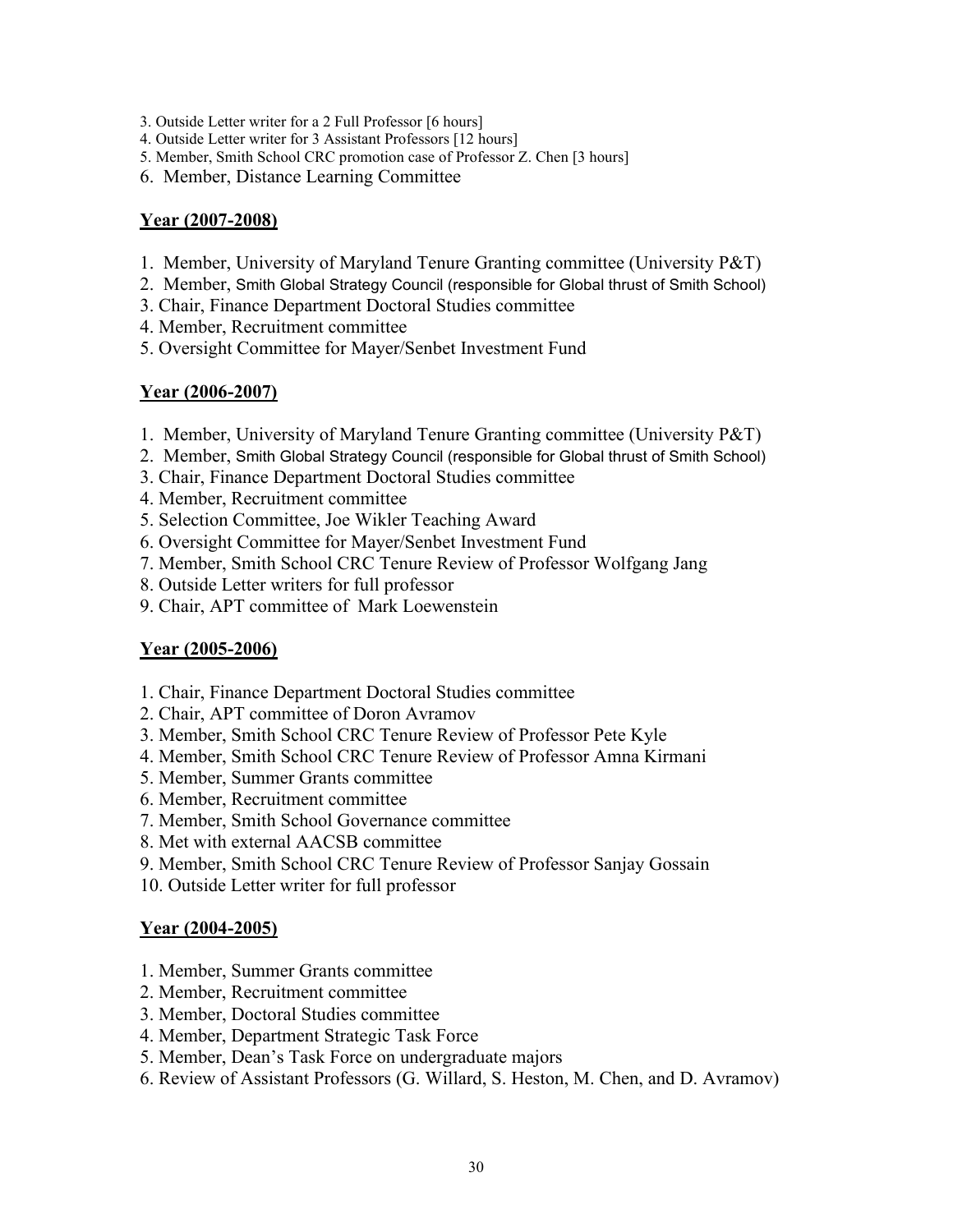- 3. Outside Letter writer for a 2 Full Professor [6 hours]
- 4. Outside Letter writer for 3 Assistant Professors [12 hours]
- 5. Member, Smith School CRC promotion case of Professor Z. Chen [3 hours]
- 6. Member, Distance Learning Committee

#### **Year (2007-2008)**

- 1. Member, University of Maryland Tenure Granting committee (University P&T)
- 2. Member, Smith Global Strategy Council (responsible for Global thrust of Smith School)
- 3. Chair, Finance Department Doctoral Studies committee
- 4. Member, Recruitment committee
- 5. Oversight Committee for Mayer/Senbet Investment Fund

#### **Year (2006-2007)**

- 1. Member, University of Maryland Tenure Granting committee (University P&T)
- 2. Member, Smith Global Strategy Council (responsible for Global thrust of Smith School)
- 3. Chair, Finance Department Doctoral Studies committee
- 4. Member, Recruitment committee
- 5. Selection Committee, Joe Wikler Teaching Award
- 6. Oversight Committee for Mayer/Senbet Investment Fund
- 7. Member, Smith School CRC Tenure Review of Professor Wolfgang Jang
- 8. Outside Letter writers for full professor
- 9. Chair, APT committee of Mark Loewenstein

#### **Year (2005-2006)**

- 1. Chair, Finance Department Doctoral Studies committee
- 2. Chair, APT committee of Doron Avramov
- 3. Member, Smith School CRC Tenure Review of Professor Pete Kyle
- 4. Member, Smith School CRC Tenure Review of Professor Amna Kirmani
- 5. Member, Summer Grants committee
- 6. Member, Recruitment committee
- 7. Member, Smith School Governance committee
- 8. Met with external AACSB committee
- 9. Member, Smith School CRC Tenure Review of Professor Sanjay Gossain
- 10. Outside Letter writer for full professor

#### **Year (2004-2005)**

- 1. Member, Summer Grants committee
- 2. Member, Recruitment committee
- 3. Member, Doctoral Studies committee
- 4. Member, Department Strategic Task Force
- 5. Member, Dean's Task Force on undergraduate majors
- 6. Review of Assistant Professors (G. Willard, S. Heston, M. Chen, and D. Avramov)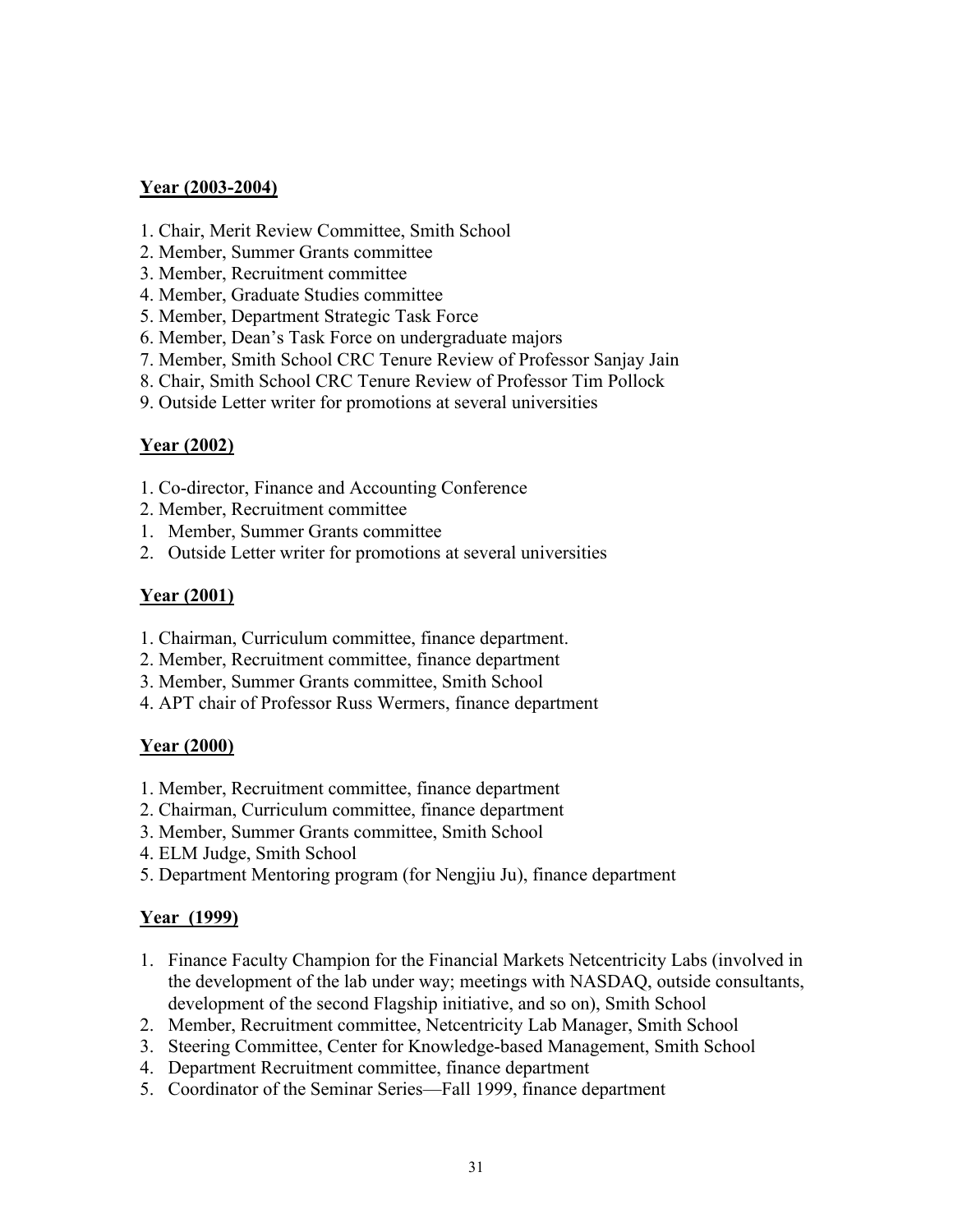#### **Year (2003-2004)**

- 1. Chair, Merit Review Committee, Smith School
- 2. Member, Summer Grants committee
- 3. Member, Recruitment committee
- 4. Member, Graduate Studies committee
- 5. Member, Department Strategic Task Force
- 6. Member, Dean's Task Force on undergraduate majors
- 7. Member, Smith School CRC Tenure Review of Professor Sanjay Jain
- 8. Chair, Smith School CRC Tenure Review of Professor Tim Pollock
- 9. Outside Letter writer for promotions at several universities

# **Year (2002)**

- 1. Co-director, Finance and Accounting Conference
- 2. Member, Recruitment committee
- 1. Member, Summer Grants committee
- 2. Outside Letter writer for promotions at several universities

### **Year (2001)**

- 1. Chairman, Curriculum committee, finance department.
- 2. Member, Recruitment committee, finance department
- 3. Member, Summer Grants committee, Smith School
- 4. APT chair of Professor Russ Wermers, finance department

# **Year (2000)**

- 1. Member, Recruitment committee, finance department
- 2. Chairman, Curriculum committee, finance department
- 3. Member, Summer Grants committee, Smith School
- 4. ELM Judge, Smith School
- 5. Department Mentoring program (for Nengjiu Ju), finance department

# **Year (1999)**

- 1. Finance Faculty Champion for the Financial Markets Netcentricity Labs (involved in the development of the lab under way; meetings with NASDAQ, outside consultants, development of the second Flagship initiative, and so on), Smith School
- 2. Member, Recruitment committee, Netcentricity Lab Manager, Smith School
- 3. Steering Committee, Center for Knowledge-based Management, Smith School
- 4. Department Recruitment committee, finance department
- 5. Coordinator of the Seminar Series—Fall 1999, finance department